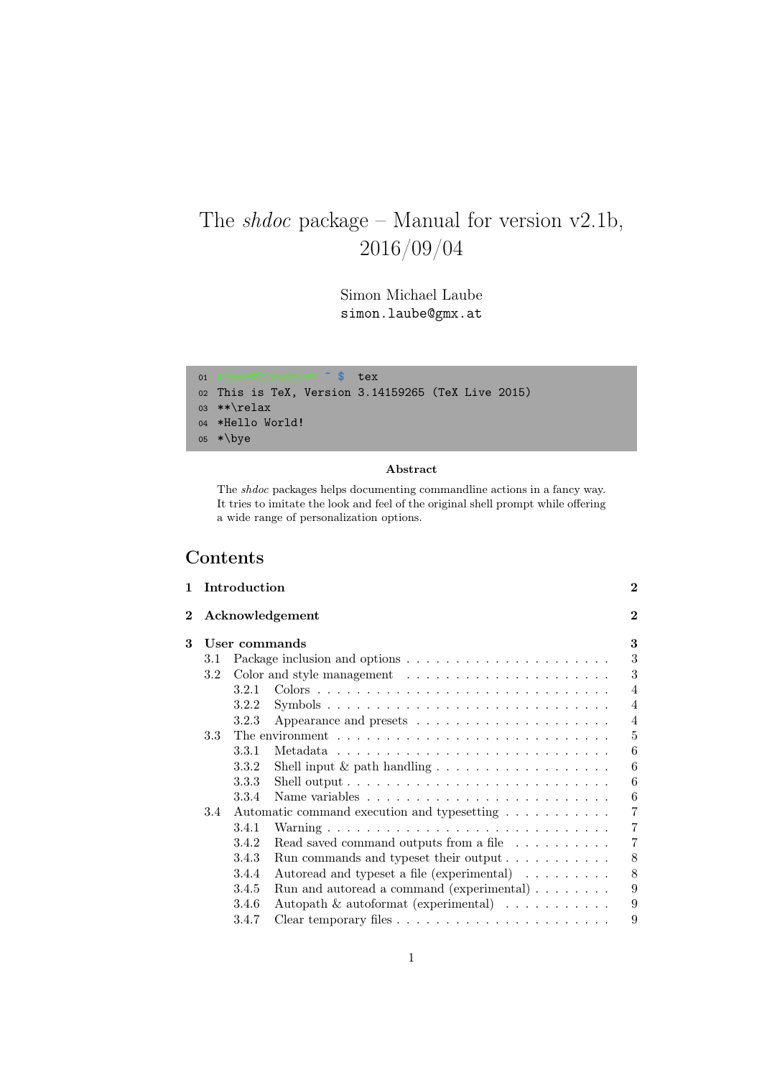# The  $shdoc$  package – Manual for version v2.1b, 2016/09/04

Simon Michael Laube simon.laube@gmx.at

```
01 simon@linuxmint ˜ $ tex
02 This is TeX, Version 3.14159265 (TeX Live 2015)
03 **\relax
04 *Hello World!
05 *\bye
```
### Abstract

The shdoc packages helps documenting commandline actions in a fancy way. It tries to imitate the look and feel of the original shell prompt while offering a wide range of personalization options.

### Contents

| $\mathbf{1}$ |       |                                                                    | $\bf{2}$                                                                                                                                                                                                                                                                                                                                                                                                                                                                                                                                                                                                                                                   |
|--------------|-------|--------------------------------------------------------------------|------------------------------------------------------------------------------------------------------------------------------------------------------------------------------------------------------------------------------------------------------------------------------------------------------------------------------------------------------------------------------------------------------------------------------------------------------------------------------------------------------------------------------------------------------------------------------------------------------------------------------------------------------------|
|              |       |                                                                    | $\bf{2}$                                                                                                                                                                                                                                                                                                                                                                                                                                                                                                                                                                                                                                                   |
|              |       |                                                                    | 3                                                                                                                                                                                                                                                                                                                                                                                                                                                                                                                                                                                                                                                          |
| 3.1          |       |                                                                    | 3                                                                                                                                                                                                                                                                                                                                                                                                                                                                                                                                                                                                                                                          |
| 3.2          |       |                                                                    | 3                                                                                                                                                                                                                                                                                                                                                                                                                                                                                                                                                                                                                                                          |
|              | 3.2.1 |                                                                    | $\overline{4}$                                                                                                                                                                                                                                                                                                                                                                                                                                                                                                                                                                                                                                             |
|              | 3.2.2 |                                                                    | $\overline{4}$                                                                                                                                                                                                                                                                                                                                                                                                                                                                                                                                                                                                                                             |
|              | 3.2.3 | Appearance and presets $\dots \dots \dots \dots \dots \dots \dots$ | $\overline{4}$                                                                                                                                                                                                                                                                                                                                                                                                                                                                                                                                                                                                                                             |
| 3.3          |       |                                                                    | $\frac{5}{2}$                                                                                                                                                                                                                                                                                                                                                                                                                                                                                                                                                                                                                                              |
|              | 3.3.1 |                                                                    | 6                                                                                                                                                                                                                                                                                                                                                                                                                                                                                                                                                                                                                                                          |
|              | 3.3.2 |                                                                    | 6                                                                                                                                                                                                                                                                                                                                                                                                                                                                                                                                                                                                                                                          |
|              | 3.3.3 |                                                                    | 6                                                                                                                                                                                                                                                                                                                                                                                                                                                                                                                                                                                                                                                          |
|              | 3.3.4 |                                                                    | 6                                                                                                                                                                                                                                                                                                                                                                                                                                                                                                                                                                                                                                                          |
| 3.4          |       |                                                                    | 7                                                                                                                                                                                                                                                                                                                                                                                                                                                                                                                                                                                                                                                          |
|              | 3.4.1 |                                                                    | 7                                                                                                                                                                                                                                                                                                                                                                                                                                                                                                                                                                                                                                                          |
|              | 3.4.2 |                                                                    | $\overline{7}$                                                                                                                                                                                                                                                                                                                                                                                                                                                                                                                                                                                                                                             |
|              | 3.4.3 |                                                                    | 8                                                                                                                                                                                                                                                                                                                                                                                                                                                                                                                                                                                                                                                          |
|              | 3.4.4 |                                                                    | 8                                                                                                                                                                                                                                                                                                                                                                                                                                                                                                                                                                                                                                                          |
|              | 3.4.5 |                                                                    | 9                                                                                                                                                                                                                                                                                                                                                                                                                                                                                                                                                                                                                                                          |
|              | 3.4.6 |                                                                    | 9                                                                                                                                                                                                                                                                                                                                                                                                                                                                                                                                                                                                                                                          |
|              | 3.4.7 |                                                                    | 9                                                                                                                                                                                                                                                                                                                                                                                                                                                                                                                                                                                                                                                          |
|              |       |                                                                    | Introduction<br>Acknowledgement<br>User commands<br>The environment $\ldots \ldots \ldots \ldots \ldots \ldots \ldots \ldots \ldots$<br>Shell input $\&$ path handling $\ldots \ldots \ldots \ldots \ldots \ldots$<br>Shell output $\ldots \ldots \ldots \ldots \ldots \ldots \ldots \ldots \ldots$<br>Automatic command execution and typesetting<br>Read saved command outputs from a file $\dots \dots \dots$<br>Run commands and typeset their output $\dots \dots \dots$<br>Autoread and typeset a file (experimental)<br>Run and autoread a command (experimental) $\ldots \ldots$<br>Autopath $\&$ autoformat (experimental) $\ldots \ldots \ldots$ |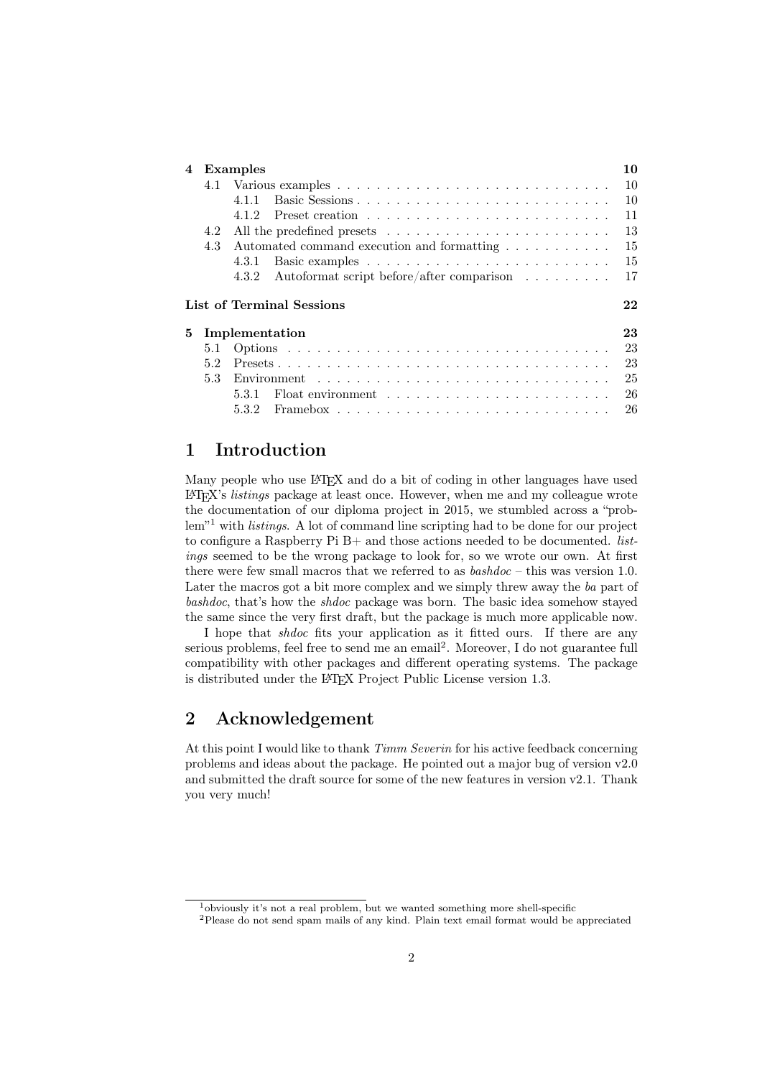| 4  | Examples |                                                                                                                                    |    |
|----|----------|------------------------------------------------------------------------------------------------------------------------------------|----|
|    |          |                                                                                                                                    | 10 |
|    |          | 4.1.1                                                                                                                              | 10 |
|    |          | 4.1.2                                                                                                                              | 11 |
|    | 4.2      |                                                                                                                                    | 13 |
|    | 4.3      | Automated command execution and formatting                                                                                         | 15 |
|    |          | 4.3.1                                                                                                                              | 15 |
|    |          | Autoformat script before/after comparison $\dots \dots$<br>4.3.2                                                                   | 17 |
|    |          |                                                                                                                                    |    |
|    |          | List of Terminal Sessions                                                                                                          | 22 |
| 5. |          | Implementation                                                                                                                     | 23 |
|    | 5.1      |                                                                                                                                    | 23 |
|    | 5.2      |                                                                                                                                    | 23 |
|    | 5.3      | Environment $\cdots$ , $\cdots$ , $\cdots$ , $\cdots$ , $\cdots$ , $\cdots$ , $\cdots$ , $\cdots$ , $\cdots$ , $\cdots$ , $\cdots$ | 25 |
|    |          | Float environment $\ldots \ldots \ldots \ldots \ldots \ldots \ldots$<br>5.3.1                                                      | 26 |

### <span id="page-1-0"></span>1 Introduction

Many people who use L<sup>AT</sup>EX and do a bit of coding in other languages have used  $E/FX$ 's *listings* package at least once. However, when me and my colleague wrote the documentation of our diploma project in 2015, we stumbled across a "prob-lem"<sup>[1](#page-1-2)</sup> with *listings*. A lot of command line scripting had to be done for our project to configure a Raspberry Pi  $B+$  and those actions needed to be documented. *list*ings seemed to be the wrong package to look for, so we wrote our own. At first there were few small macros that we referred to as  $\textit{bashdoc} - \text{this}$  was version 1.0. Later the macros got a bit more complex and we simply threw away the ba part of bashdoc, that's how the shdoc package was born. The basic idea somehow stayed the same since the very first draft, but the package is much more applicable now.

I hope that shdoc fits your application as it fitted ours. If there are any serious problems, feel free to send me an email<sup>[2](#page-1-3)</sup>. Moreover, I do not guarantee full compatibility with other packages and different operating systems. The package is distributed under the L<sup>AT</sup>EX Project Public License version 1.3.

### <span id="page-1-1"></span>2 Acknowledgement

At this point I would like to thank  $Timm\;Severin$  for his active feedback concerning problems and ideas about the package. He pointed out a major bug of version v2.0 and submitted the draft source for some of the new features in version v2.1. Thank you very much!

<span id="page-1-2"></span><sup>1</sup>obviously it's not a real problem, but we wanted something more shell-specific

<span id="page-1-3"></span><sup>2</sup>Please do not send spam mails of any kind. Plain text email format would be appreciated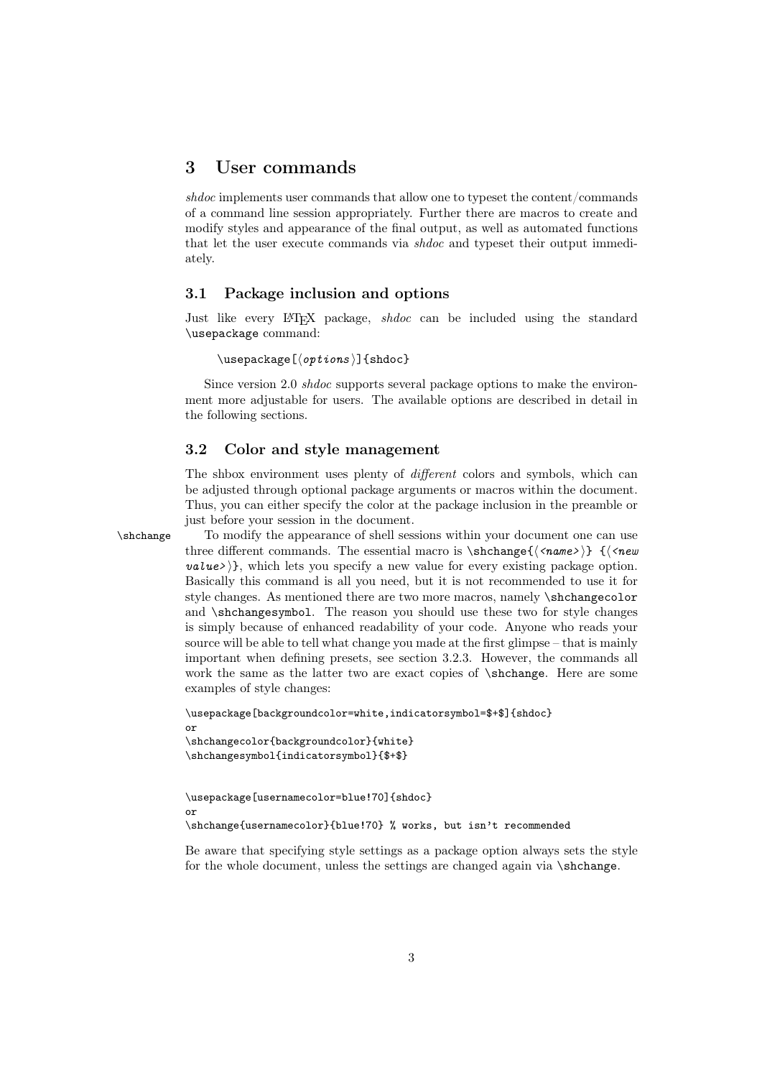### <span id="page-2-0"></span>3 User commands

shdoc implements user commands that allow one to typeset the content/commands of a command line session appropriately. Further there are macros to create and modify styles and appearance of the final output, as well as automated functions that let the user execute commands via shdoc and typeset their output immediately.

#### <span id="page-2-1"></span>3.1 Package inclusion and options

Just like every LATEX package, *shdoc* can be included using the standard \usepackage command:

 $\text{usepackage}[\langle options \rangle]$ {shdoc}

Since version 2.0 shdoc supports several package options to make the environment more adjustable for users. The available options are described in detail in the following sections.

#### <span id="page-2-2"></span>3.2 Color and style management

The shbox environment uses plenty of *different* colors and symbols, which can be adjusted through optional package arguments or macros within the document. Thus, you can either specify the color at the package inclusion in the preamble or just before your session in the document.

\shchange To modify the appearance of shell sessions within your document one can use three different commands. The essential macro is  $\shchange{\langle \text{name} \rangle} \ {\langle \text{new} \rangle}$  $value \rightarrow \}$ , which lets you specify a new value for every existing package option. Basically this command is all you need, but it is not recommended to use it for style changes. As mentioned there are two more macros, namely \shchangecolor and \shchangesymbol. The reason you should use these two for style changes is simply because of enhanced readability of your code. Anyone who reads your source will be able to tell what change you made at the first glimpse – that is mainly important when defining presets, see section [3.2.3.](#page-3-2) However, the commands all work the same as the latter two are exact copies of \shchange. Here are some examples of style changes:

```
\usepackage[backgroundcolor=white,indicatorsymbol=$+$]{shdoc}
or
\shchangecolor{backgroundcolor}{white}
\shchangesymbol{indicatorsymbol}{$+$}
```

```
\usepackage[usernamecolor=blue!70]{shdoc}
or
\shchange{usernamecolor}{blue!70} % works, but isn't recommended
```
Be aware that specifying style settings as a package option always sets the style for the whole document, unless the settings are changed again via \shchange.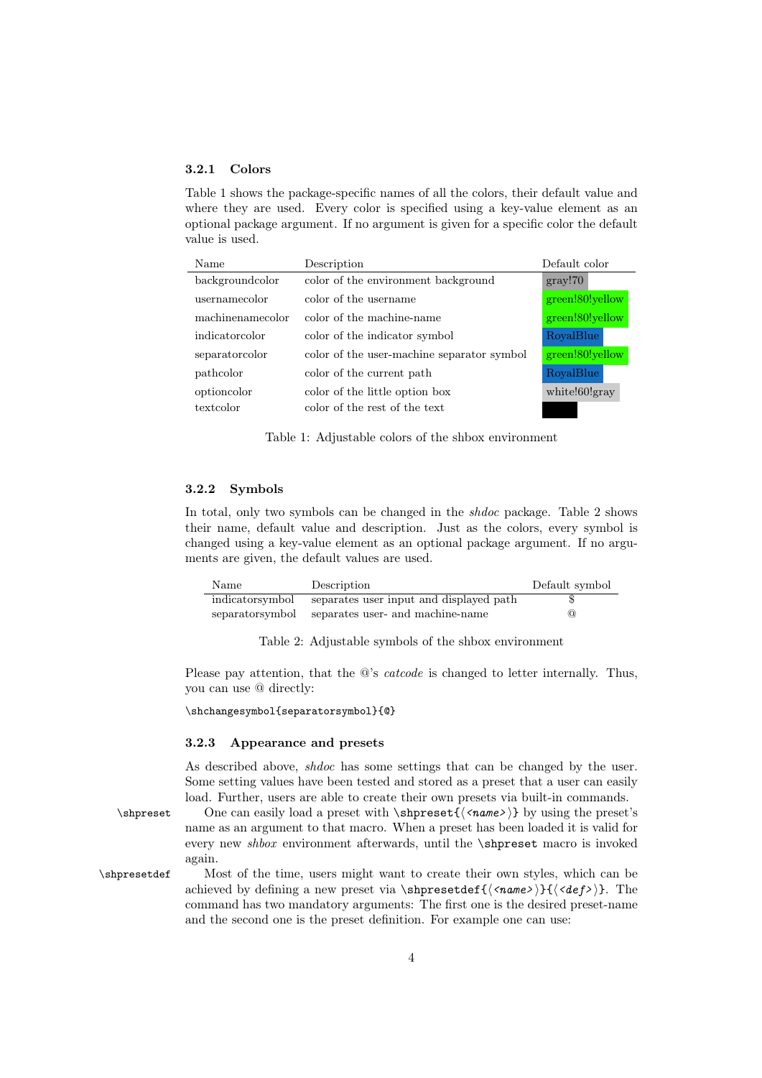#### <span id="page-3-0"></span>3.2.1 Colors

Table [1](#page-3-3) shows the package-specific names of all the colors, their default value and where they are used. Every color is specified using a key-value element as an optional package argument. If no argument is given for a specific color the default value is used.

<span id="page-3-3"></span>

| Name             | Description                                | Default color   |
|------------------|--------------------------------------------|-----------------|
| backgroundcolor  | color of the environment background        | gray!70         |
| usernamecolor    | color of the username                      | green!80!yellow |
| machinenamecolor | color of the machine-name                  | green!80!yellow |
| indicatorcolor   | color of the indicator symbol              | RoyalBlue       |
| separatorcolor   | color of the user-machine separator symbol | green!80!yellow |
| pathcolor        | color of the current path                  | RoyalBlue       |
| optioncolor      | color of the little option box             | white!60!gray   |
| textcolor        | color of the rest of the text              |                 |

Table 1: Adjustable colors of the shbox environment

#### <span id="page-3-1"></span>3.2.2 Symbols

In total, only two symbols can be changed in the shdoc package. Table [2](#page-3-4) shows their name, default value and description. Just as the colors, every symbol is changed using a key-value element as an optional package argument. If no arguments are given, the default values are used.

<span id="page-3-4"></span>

| Name            | Description                             | Default symbol |
|-----------------|-----------------------------------------|----------------|
| indicatorsymbol | separates user input and displayed path |                |
| separatorsymbol | separates user- and machine-name        | $\omega$       |

Table 2: Adjustable symbols of the shbox environment

Please pay attention, that the  $@$ 's *catcode* is changed to letter internally. Thus, you can use @ directly:

\shchangesymbol{separatorsymbol}{@}

#### <span id="page-3-2"></span>3.2.3 Appearance and presets

As described above, shdoc has some settings that can be changed by the user. Some setting values have been tested and stored as a preset that a user can easily load. Further, users are able to create their own presets via built-in commands.

\shpreset One can easily load a preset with \shpreset{ $\langle \langle name \rangle \rangle$ } by using the preset's name as an argument to that macro. When a preset has been loaded it is valid for every new shbox environment afterwards, until the \shpreset macro is invoked again.

\shpresetdef Most of the time, users might want to create their own styles, which can be achieved by defining a new preset via \shpresetdef{ $\langle \langle name \rangle$ }{ $\langle \langle def \rangle$ }. The command has two mandatory arguments: The first one is the desired preset-name and the second one is the preset definition. For example one can use: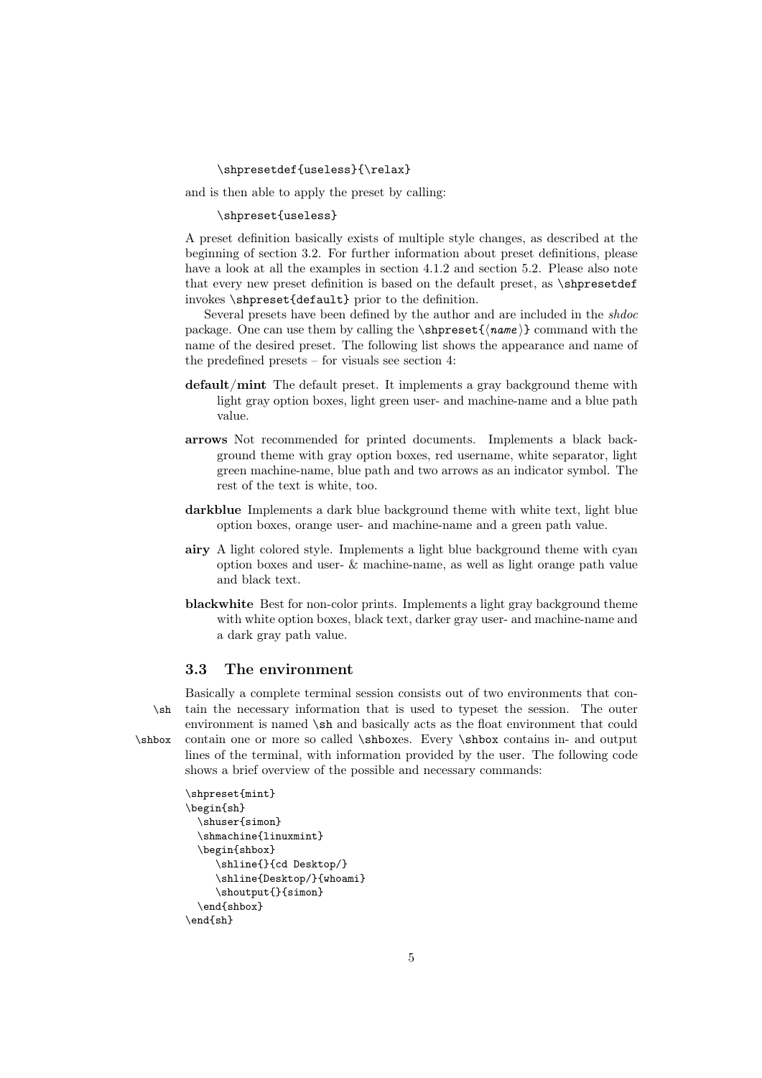#### \shpresetdef{useless}{\relax}

and is then able to apply the preset by calling:

#### \shpreset{useless}

A preset definition basically exists of multiple style changes, as described at the beginning of section [3.2.](#page-2-2) For further information about preset definitions, please have a look at all the examples in section [4.1.2](#page-10-0) and section [5.2.](#page-22-2) Please also note that every new preset definition is based on the default preset, as \shpresetdef invokes \shpreset{default} prior to the definition.

Several presets have been defined by the author and are included in the shdoc package. One can use them by calling the  $\supset {\name}$  command with the name of the desired preset. The following list shows the appearance and name of the predefined presets – for visuals see section [4:](#page-9-0)

- default/mint The default preset. It implements a gray background theme with light gray option boxes, light green user- and machine-name and a blue path value.
- arrows Not recommended for printed documents. Implements a black background theme with gray option boxes, red username, white separator, light green machine-name, blue path and two arrows as an indicator symbol. The rest of the text is white, too.
- darkblue Implements a dark blue background theme with white text, light blue option boxes, orange user- and machine-name and a green path value.
- airy A light colored style. Implements a light blue background theme with cyan option boxes and user- & machine-name, as well as light orange path value and black text.
- blackwhite Best for non-color prints. Implements a light gray background theme with white option boxes, black text, darker gray user- and machine-name and a dark gray path value.

#### <span id="page-4-0"></span>3.3 The environment

Basically a complete terminal session consists out of two environments that con- \sh tain the necessary information that is used to typeset the session. The outer environment is named \sh and basically acts as the float environment that could \shbox contain one or more so called \shboxes. Every \shbox contains in- and output lines of the terminal, with information provided by the user. The following code shows a brief overview of the possible and necessary commands:

```
\shpreset{mint}
\begin{sh}
  \shuser{simon}
  \shmachine{linuxmint}
  \begin{shbox}
     \shline{}{cd Desktop/}
     \shline{Desktop/}{whoami}
     \shoutput{}{simon}
  \end{shbox}
\end{sh}
```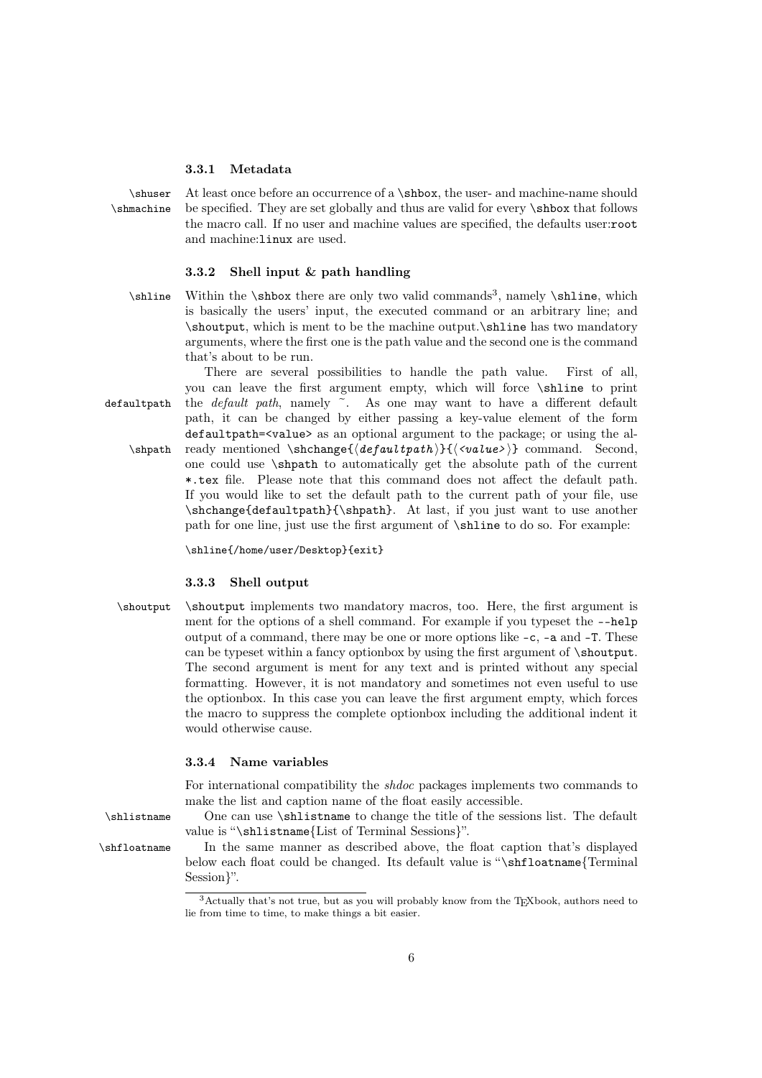#### <span id="page-5-0"></span>3.3.1 Metadata

\shuser At least once before an occurrence of a \shbox, the user- and machine-name should \shmachine be specified. They are set globally and thus are valid for every \shbox that follows the macro call. If no user and machine values are specified, the defaults user:root and machine:linux are used.

#### <span id="page-5-1"></span>3.3.2 Shell input & path handling

 $\shline$  Within the  $\shbox$  there are only two valid commands<sup>[3](#page-5-4)</sup>, namely  $\shline$ , which is basically the users' input, the executed command or an arbitrary line; and \shoutput, which is ment to be the machine output.\shline has two mandatory arguments, where the first one is the path value and the second one is the command that's about to be run.

There are several possibilities to handle the path value. First of all, you can leave the first argument empty, which will force \shline to print defaultpath the *default path*, namely  $\tilde{\ }$ . As one may want to have a different default path, it can be changed by either passing a key-value element of the form defaultpath=<value> as an optional argument to the package; or using the al-  $\shpath$  ready mentioned  $\shchange{\text{depth}}{\text{with}}$  ( $\verb|{}$ ) one could use \shpath to automatically get the absolute path of the current \*.tex file. Please note that this command does not affect the default path. If you would like to set the default path to the current path of your file, use \shchange{defaultpath}{\shpath}. At last, if you just want to use another path for one line, just use the first argument of \shline to do so. For example:

\shline{/home/user/Desktop}{exit}

#### <span id="page-5-2"></span>3.3.3 Shell output

\shoutput \shoutput implements two mandatory macros, too. Here, the first argument is ment for the options of a shell command. For example if you typeset the --help output of a command, there may be one or more options like -c, -a and -T. These can be typeset within a fancy optionbox by using the first argument of \shoutput. The second argument is ment for any text and is printed without any special formatting. However, it is not mandatory and sometimes not even useful to use the optionbox. In this case you can leave the first argument empty, which forces the macro to suppress the complete optionbox including the additional indent it would otherwise cause.

#### <span id="page-5-3"></span>3.3.4 Name variables

For international compatibility the shdoc packages implements two commands to make the list and caption name of the float easily accessible.

\shlistname One can use \shlistname to change the title of the sessions list. The default value is "\shlistname{List of Terminal Sessions}".

\shfloatname In the same manner as described above, the float caption that's displayed below each float could be changed. Its default value is "\shfloatname{Terminal Session}".

<span id="page-5-4"></span><sup>&</sup>lt;sup>3</sup>Actually that's not true, but as you will probably know from the TEXbook, authors need to lie from time to time, to make things a bit easier.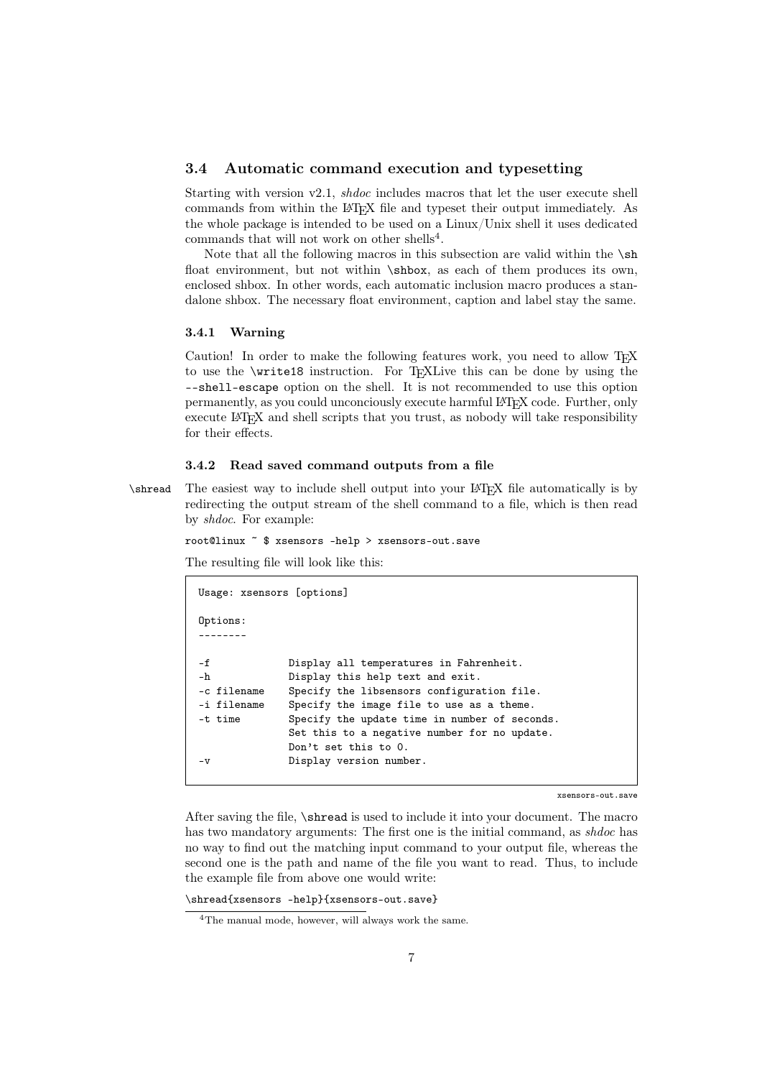#### <span id="page-6-0"></span>3.4 Automatic command execution and typesetting

Starting with version v2.1, shdoc includes macros that let the user execute shell commands from within the LATEX file and typeset their output immediately. As the whole package is intended to be used on a Linux/Unix shell it uses dedicated commands that will not work on other shells<sup>[4](#page-6-3)</sup>.

Note that all the following macros in this subsection are valid within the  $\s$ h float environment, but not within \shbox, as each of them produces its own, enclosed shbox. In other words, each automatic inclusion macro produces a standalone shbox. The necessary float environment, caption and label stay the same.

#### <span id="page-6-1"></span>3.4.1 Warning

Caution! In order to make the following features work, you need to allow TEX to use the \write18 instruction. For T<sub>E</sub>XLive this can be done by using the --shell-escape option on the shell. It is not recommended to use this option permanently, as you could unconciously execute harmful LATEX code. Further, only execute LATEX and shell scripts that you trust, as nobody will take responsibility for their effects.

#### <span id="page-6-2"></span>3.4.2 Read saved command outputs from a file

\shread The easiest way to include shell output into your LATEX file automatically is by redirecting the output stream of the shell command to a file, which is then read by shdoc. For example:

```
root@linux ~ $ xsensors -help > xsensors-out.save
```
The resulting file will look like this:

```
Usage: xsensors [options]
Options:
--------
-f Display all temperatures in Fahrenheit.
-h Display this help text and exit.
-c filename Specify the libsensors configuration file.
-i filename Specify the image file to use as a theme.
-t time Specify the update time in number of seconds.
             Set this to a negative number for no update.
             Don't set this to 0.
-v Display version number.
```
xsensors-out.save

After saving the file, \shread is used to include it into your document. The macro has two mandatory arguments: The first one is the initial command, as *shaoc* has no way to find out the matching input command to your output file, whereas the second one is the path and name of the file you want to read. Thus, to include the example file from above one would write:

\shread{xsensors -help}{xsensors-out.save}

<span id="page-6-3"></span><sup>&</sup>lt;sup>4</sup>The manual mode, however, will always work the same.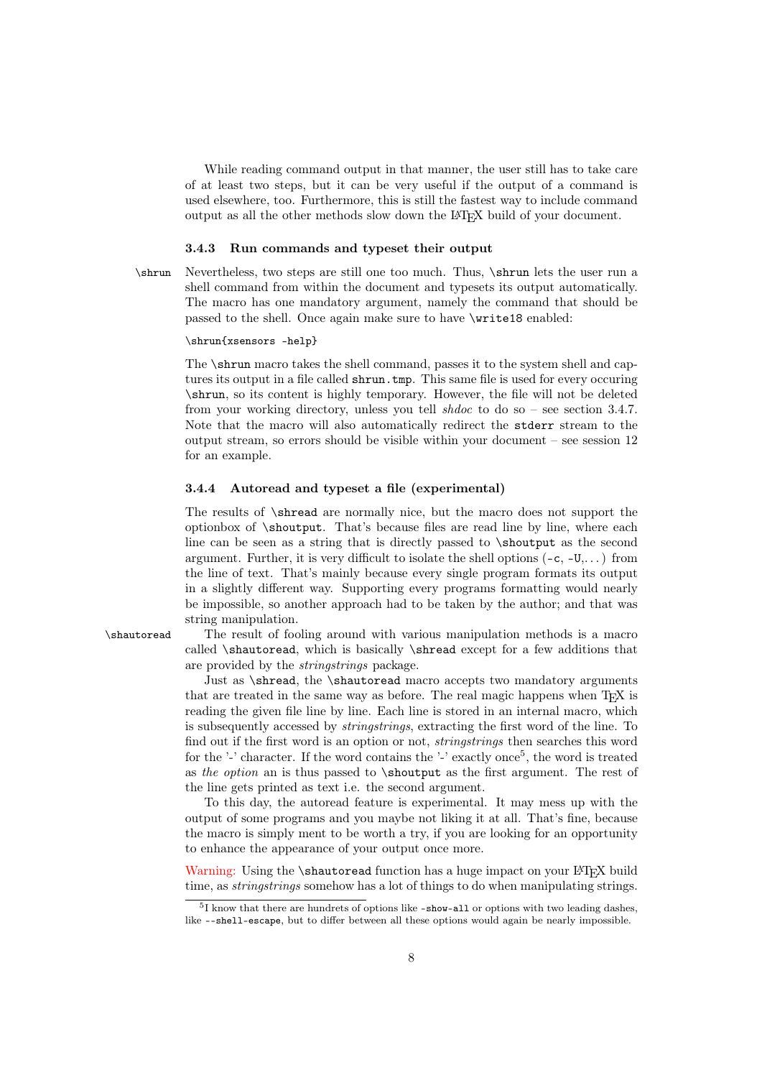While reading command output in that manner, the user still has to take care of at least two steps, but it can be very useful if the output of a command is used elsewhere, too. Furthermore, this is still the fastest way to include command output as all the other methods slow down the L<sup>A</sup>T<sub>E</sub>X build of your document.

#### <span id="page-7-0"></span>3.4.3 Run commands and typeset their output

\shrun Nevertheless, two steps are still one too much. Thus, \shrun lets the user run a shell command from within the document and typesets its output automatically. The macro has one mandatory argument, namely the command that should be passed to the shell. Once again make sure to have \write18 enabled:

#### \shrun{xsensors -help}

The \shrun macro takes the shell command, passes it to the system shell and captures its output in a file called shrun.tmp. This same file is used for every occuring \shrun, so its content is highly temporary. However, the file will not be deleted from your working directory, unless you tell *shaoc* to do so – see section [3.4.7.](#page-8-2) Note that the macro will also automatically redirect the stderr stream to the output stream, so errors should be visible within your document – see session [12](#page-15-0) for an example.

#### <span id="page-7-1"></span>3.4.4 Autoread and typeset a file (experimental)

The results of \shread are normally nice, but the macro does not support the optionbox of \shoutput. That's because files are read line by line, where each line can be seen as a string that is directly passed to \shoutput as the second argument. Further, it is very difficult to isolate the shell options  $(-c, -U, \ldots)$  from the line of text. That's mainly because every single program formats its output in a slightly different way. Supporting every programs formatting would nearly be impossible, so another approach had to be taken by the author; and that was string manipulation.

\shautoread The result of fooling around with various manipulation methods is a macro called \shautoread, which is basically \shread except for a few additions that are provided by the stringstrings package.

> Just as \shread, the \shautoread macro accepts two mandatory arguments that are treated in the same way as before. The real magic happens when TEX is reading the given file line by line. Each line is stored in an internal macro, which is subsequently accessed by stringstrings, extracting the first word of the line. To find out if the first word is an option or not, stringstrings then searches this word for the '-' character. If the word contains the '-' exactly once<sup>[5](#page-7-2)</sup>, the word is treated as the option an is thus passed to \shoutput as the first argument. The rest of the line gets printed as text i.e. the second argument.

> To this day, the autoread feature is experimental. It may mess up with the output of some programs and you maybe not liking it at all. That's fine, because the macro is simply ment to be worth a try, if you are looking for an opportunity to enhance the appearance of your output once more.

> Warning: Using the \shautoread function has a huge impact on your LATEX build time, as *stringstrings* somehow has a lot of things to do when manipulating strings.

<span id="page-7-2"></span><sup>&</sup>lt;sup>5</sup>I know that there are hundrets of options like -show-all or options with two leading dashes, like --shell-escape, but to differ between all these options would again be nearly impossible.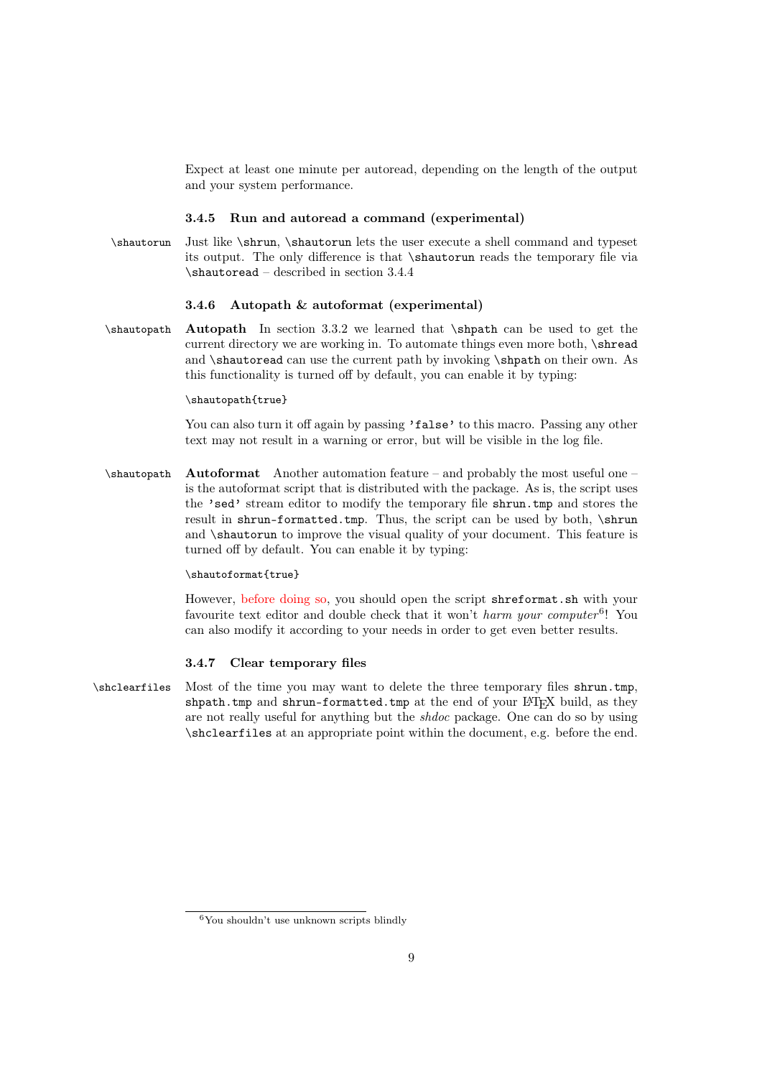Expect at least one minute per autoread, depending on the length of the output and your system performance.

#### <span id="page-8-0"></span>3.4.5 Run and autoread a command (experimental)

\shautorun Just like \shrun, \shautorun lets the user execute a shell command and typeset its output. The only difference is that \shautorun reads the temporary file via  $\lambda$  – described in section [3.4.4](#page-7-1)

#### <span id="page-8-1"></span>3.4.6 Autopath & autoformat (experimental)

\shautopath Autopath In section [3.3.2](#page-5-1) we learned that \shpath can be used to get the current directory we are working in. To automate things even more both, \shread and \shautoread can use the current path by invoking \shpath on their own. As this functionality is turned off by default, you can enable it by typing:

#### \shautopath{true}

You can also turn it off again by passing 'false' to this macro. Passing any other text may not result in a warning or error, but will be visible in the log file.

 $\lambda$  Autoformat Another automation feature – and probably the most useful one – is the autoformat script that is distributed with the package. As is, the script uses the 'sed' stream editor to modify the temporary file shrun.tmp and stores the result in shrun-formatted.tmp. Thus, the script can be used by both, \shrun and \shautorun to improve the visual quality of your document. This feature is turned off by default. You can enable it by typing:

#### \shautoformat{true}

However, before doing so, you should open the script shreformat.sh with your favourite text editor and double check that it won't harm your computer<sup>[6](#page-8-3)</sup>! You can also modify it according to your needs in order to get even better results.

#### <span id="page-8-2"></span>3.4.7 Clear temporary files

\shclearfiles Most of the time you may want to delete the three temporary files shrun.tmp, shpath.tmp and shrun-formatted.tmp at the end of your LATEX build, as they are not really useful for anything but the shdoc package. One can do so by using \shclearfiles at an appropriate point within the document, e.g. before the end.

<span id="page-8-3"></span> $6$ You shouldn't use unknown scripts blindly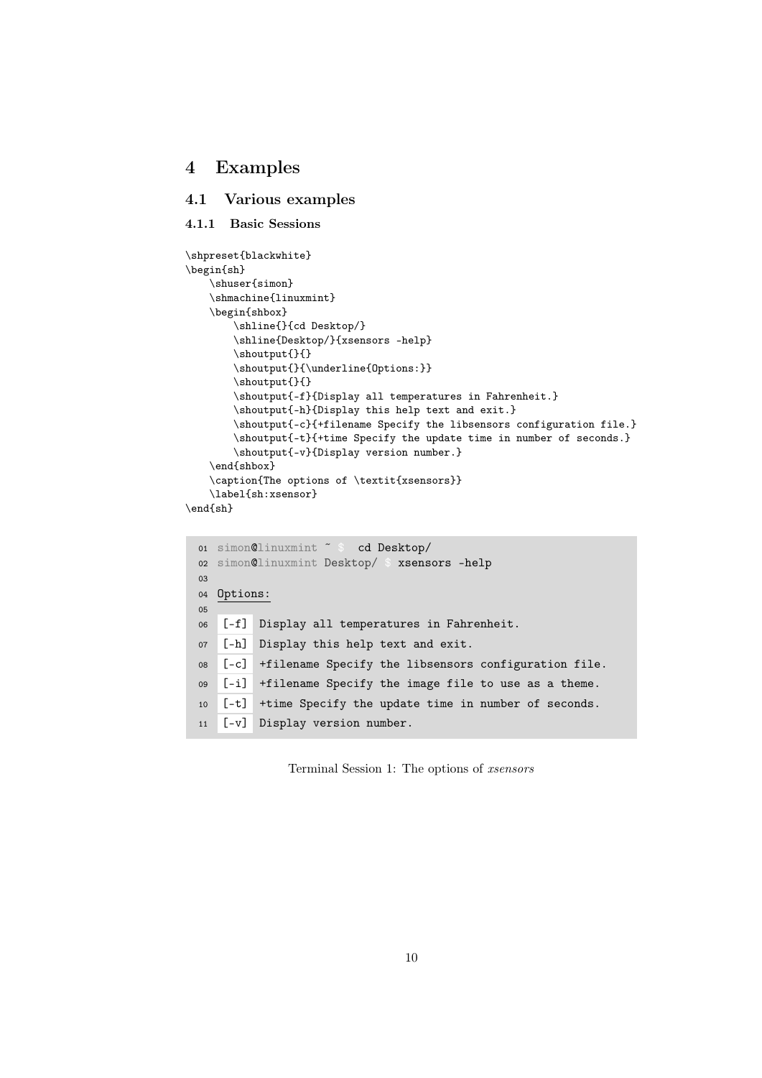### <span id="page-9-0"></span>4 Examples

### <span id="page-9-1"></span>4.1 Various examples

#### <span id="page-9-2"></span>4.1.1 Basic Sessions

```
\shpreset{blackwhite}
\begin{sh}
    \shuser{simon}
   \shmachine{linuxmint}
   \begin{shbox}
        \shline{}{cd Desktop/}
        \shline{Desktop/}{xsensors -help}
        \shoutput{}{}
        \shoutput{}{\underline{Options:}}
        \shoutput{}{}
        \shoutput{-f}{Display all temperatures in Fahrenheit.}
        \shoutput{-h}{Display this help text and exit.}
        \shoutput{-c}{+filename Specify the libsensors configuration file.}
        \shoutput{-t}{+time Specify the update time in number of seconds.}
        \shoutput{-v}{Display version number.}
    \end{shbox}
   \caption{The options of \textit{xsensors}}
   \label{sh:xsensor}
\end{sh}
```

```
01 simon@linuxmint ˜ $ cd Desktop/
02 simon@linuxmint Desktop/ $ xsensors -help
03
04 Options:
05
06 [-f] Display all temperatures in Fahrenheit.
07 [-h] Display this help text and exit.
08 [-c] +filename Specify the libsensors configuration file.
09 [-i] +filename Specify the image file to use as a theme.
10 [-t] +time Specify the update time in number of seconds.
11 [-v] Display version number.
```
Terminal Session 1: The options of xsensors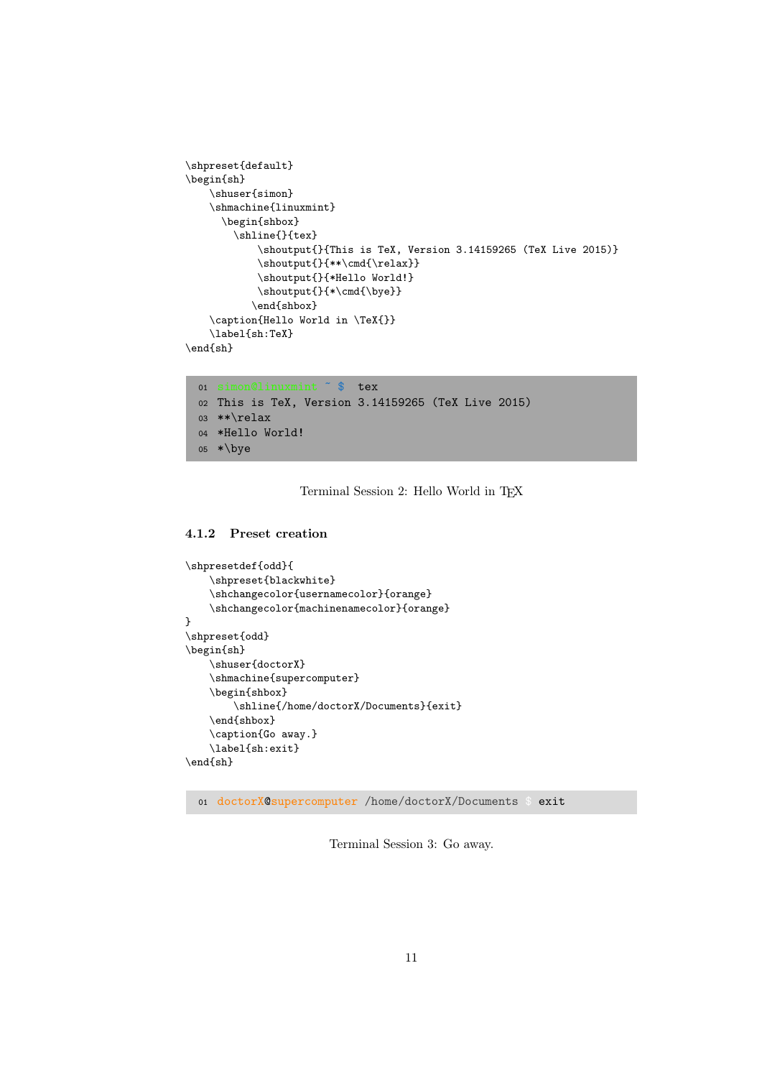```
\shpreset{default}
\begin{sh}
    \shuser{simon}
    \shmachine{linuxmint}
      \begin{shbox}
        \shline{}{tex}
            \shoutput{}{This is TeX, Version 3.14159265 (TeX Live 2015)}
            \shoutput{}{**\cmd{\relax}}
            \shoutput{}{*Hello World!}
            \verb|\shoutput{}|{\star\cmd{\bye}}\end{shbox}
    \caption{Hello World in \TeX{}}
    \label{sh:TeX}
\end{sh}
```

```
01 simon@linuxmint ˜ $ tex
02 This is TeX, Version 3.14159265 (TeX Live 2015)
03 **\relax
04 *Hello World!
05 *\bye
```
Terminal Session 2: Hello World in TFX

#### <span id="page-10-0"></span>4.1.2 Preset creation

```
\shpresetdef{odd}{
    \shpreset{blackwhite}
    \shchangecolor{usernamecolor}{orange}
    \shchangecolor{machinenamecolor}{orange}
}
\shpreset{odd}
\begin{sh}
    \shuser{doctorX}
    \shmachine{supercomputer}
    \begin{shbox}
        \shline{/home/doctorX/Documents}{exit}
    \end{shbox}
    \caption{Go away.}
    \label{sh:exit}
\end{sh}
```
<sup>01</sup> doctorX@supercomputer /home/doctorX/Documents \$ exit

Terminal Session 3: Go away.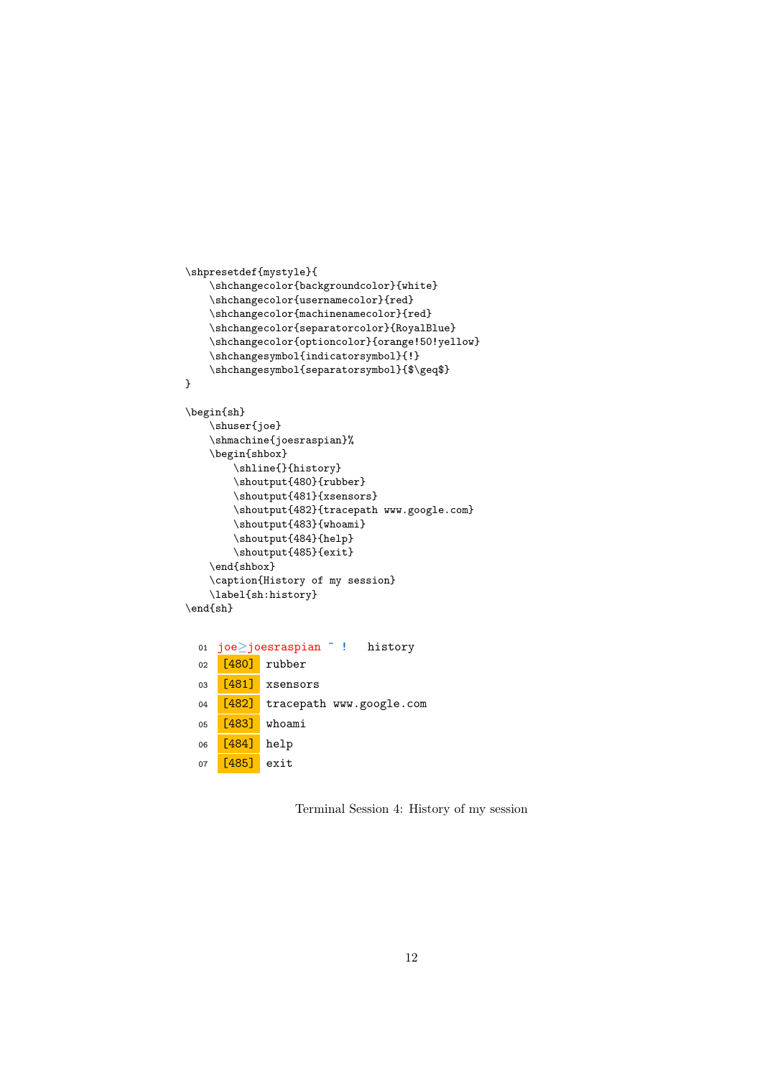```
\shpresetdef{mystyle}{
    \shchangecolor{backgroundcolor}{white}
    \shchangecolor{usernamecolor}{red}
    \shchangecolor{machinenamecolor}{red}
    \shchangecolor{separatorcolor}{RoyalBlue}
    \shchangecolor{optioncolor}{orange!50!yellow}
    \shchangesymbol{indicatorsymbol}{!}
    \shchangesymbol{separatorsymbol}{$\geq$}
```

```
}
```

```
\begin{sh}
    \shuser{joe}
    \shmachine{joesraspian}%
    \begin{shbox}
        \shline{}{history}
        \shoutput{480}{rubber}
        \shoutput{481}{xsensors}
        \shoutput{482}{tracepath www.google.com}
        \shoutput{483}{whoami}
        \shoutput{484}{help}
        \shoutput{485}{exit}
    \end{shbox}
    \caption{History of my session}
    \label{sh:history}
\end{sh}
```

```
01 joe≥joesraspian ˜ ! history
02 [480] rubber
03 [481] xsensors
04 [482] tracepath www.google.com
05 [483] whoami
06 [484] help
07 [485] exit
```
Terminal Session 4: History of my session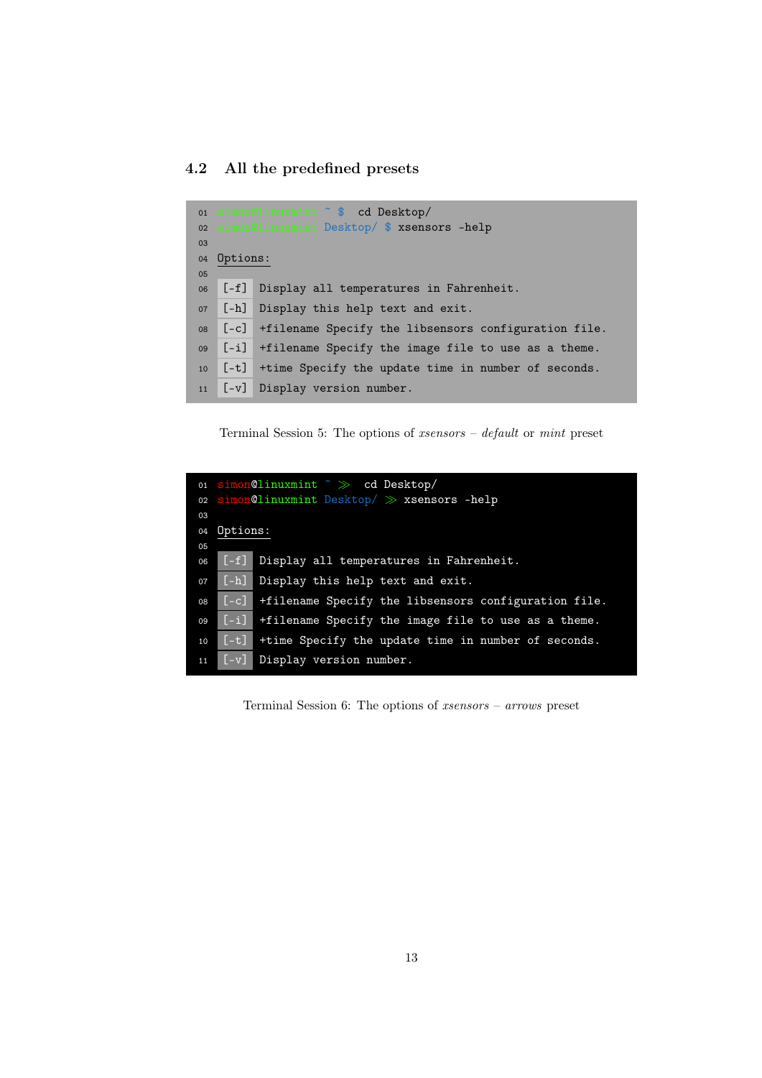## <span id="page-12-0"></span>4.2 All the predefined presets

<span id="page-12-1"></span>

|    |             | 01 simon@linuxmint ~ \$ cd Desktop/                        |  |
|----|-------------|------------------------------------------------------------|--|
|    |             | o2 simon@linuxmint Desktop/ \$ xsensors -help              |  |
| 03 |             |                                                            |  |
|    | 04 Options: |                                                            |  |
| 05 |             |                                                            |  |
| 06 |             | [-f] Display all temperatures in Fahrenheit.               |  |
| 07 |             | [-h] Display this help text and exit.                      |  |
| 08 |             | [-c] +filename Specify the libsensors configuration file.  |  |
| 09 |             | $[-i]$ +filename Specify the image file to use as a theme. |  |
| 10 |             | [-t] +time Specify the update time in number of seconds.   |  |
|    |             | 11 [-v] Display version number.                            |  |

Terminal Session 5: The options of xsensors – default or mint preset

<span id="page-12-2"></span>

|    |          | 01 simon@linuxmint ~ >>> cd Desktop/                      |
|----|----------|-----------------------------------------------------------|
|    |          | o2 simon@linuxmint Desktop/ >> xsensors -help             |
| 03 |          |                                                           |
| 04 | Options: |                                                           |
| 05 |          |                                                           |
| 06 |          | [-f] Display all temperatures in Fahrenheit.              |
| 07 |          | [-h] Display this help text and exit.                     |
| 08 |          | [-c] +filename Specify the libsensors configuration file. |
| 09 |          | [-i] +filename Specify the image file to use as a theme.  |
| 10 |          | [-t] +time Specify the update time in number of seconds.  |
| 11 |          | [-v] Display version number.                              |

Terminal Session 6: The options of xsensors – arrows preset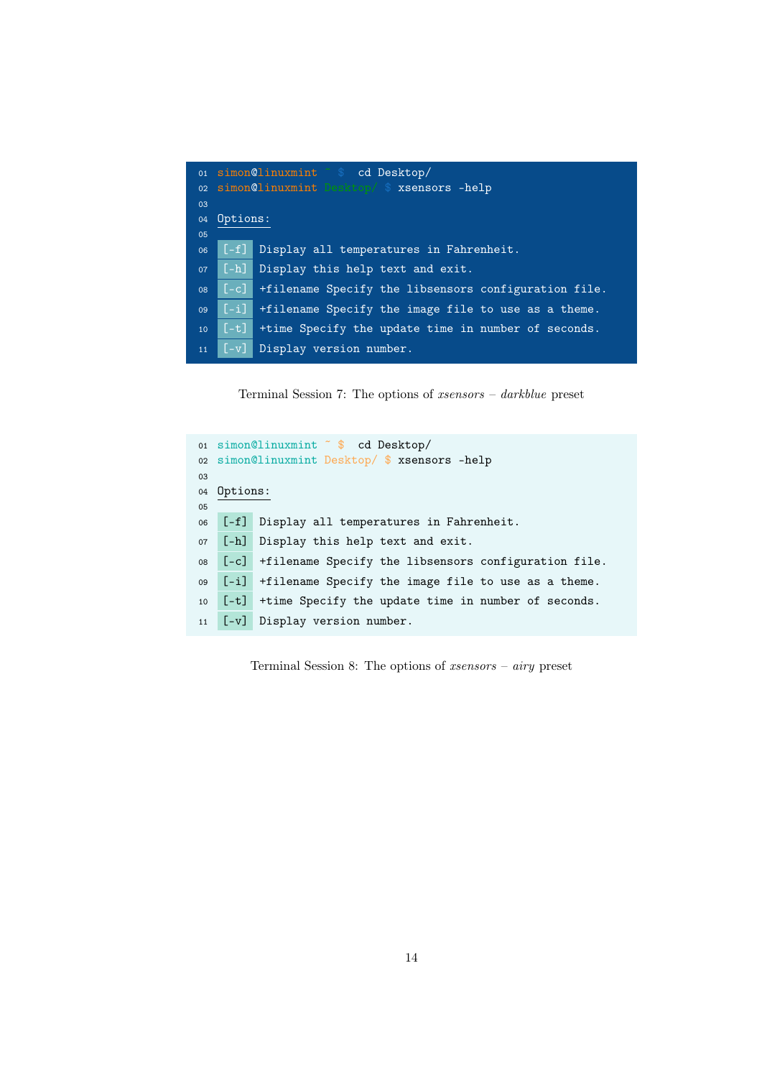<span id="page-13-0"></span>

|    |                    | 01 simon@linuxmint 5 cd Desktop/                     |
|----|--------------------|------------------------------------------------------|
|    |                    | 02 simon@linuxmint Desktop/ \$ xsensors -help        |
| 03 |                    |                                                      |
| 04 | Options:           |                                                      |
| 05 |                    |                                                      |
| 06 | $[-f]$             | Display all temperatures in Fahrenheit.              |
| 07 | $[-h]$             | Display this help text and exit.                     |
| 08 | $\lceil -c \rceil$ | +filename Specify the libsensors configuration file. |
| 09 | F-il I             | +filename Specify the image file to use as a theme.  |
| 10 | $[-t]$             | +time Specify the update time in number of seconds.  |
| 11 | $[-v]$             | Display version number.                              |

Terminal Session 7: The options of xsensors – darkblue preset

<span id="page-13-1"></span>

|    |          | 01 simon@linuxmint ~ \$ cd Desktop/                       |  |
|----|----------|-----------------------------------------------------------|--|
|    |          | 02 simon@linuxmint Desktop/ \$ xsensors -help             |  |
| 03 |          |                                                           |  |
| 04 | Options: |                                                           |  |
| 05 |          |                                                           |  |
| 06 |          | [-f] Display all temperatures in Fahrenheit.              |  |
| 07 |          | [-h] Display this help text and exit.                     |  |
| 08 |          | [-c] +filename Specify the libsensors configuration file. |  |
| 09 |          | [-i] +filename Specify the image file to use as a theme.  |  |
| 10 | $[-t]$   | +time Specify the update time in number of seconds.       |  |
|    |          | 11 [-v] Display version number.                           |  |

Terminal Session 8: The options of xsensors – airy preset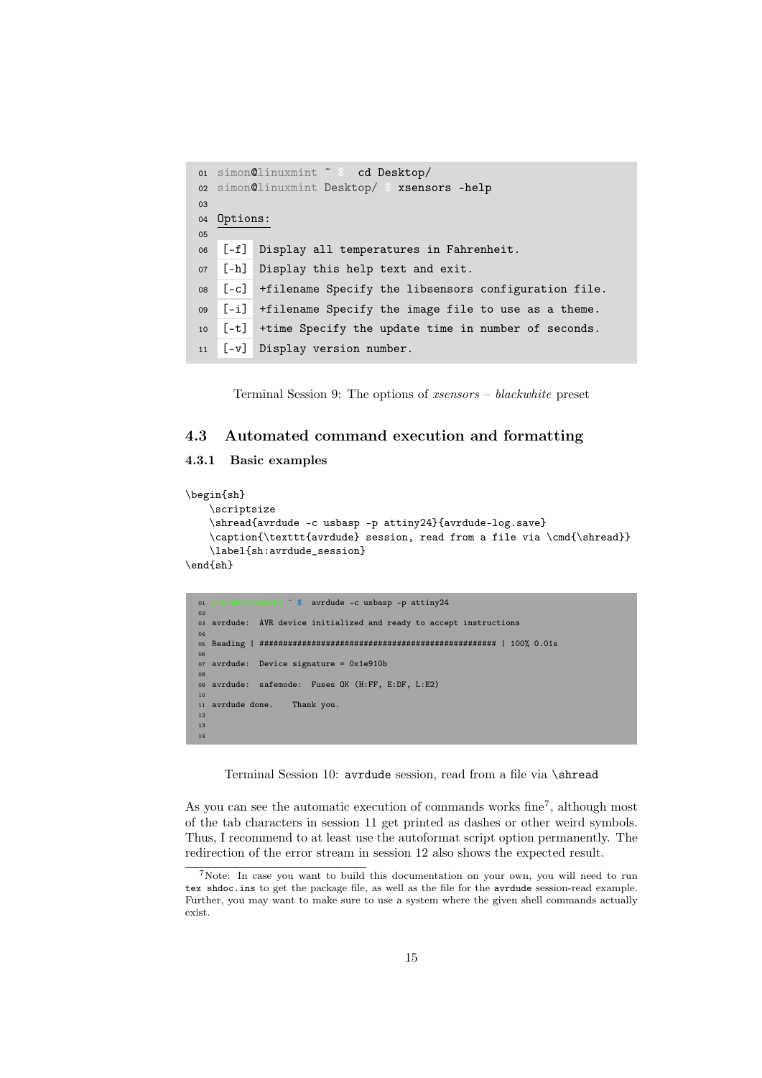```
01 simon@linuxmint ˜ $ cd Desktop/
02 simon@linuxmint Desktop/ $ xsensors -help
03
04 Options:
05
06 [-f] Display all temperatures in Fahrenheit.
07 [-h] Display this help text and exit.
08 [-c] +filename Specify the libsensors configuration file.
09 [-i] +filename Specify the image file to use as a theme.
10 [-t] +time Specify the update time in number of seconds.
11 [-v] Display version number.
```
Terminal Session 9: The options of xsensors – blackwhite preset

### <span id="page-14-0"></span>4.3 Automated command execution and formatting

### <span id="page-14-1"></span>4.3.1 Basic examples

```
\begin{sh}
   \scriptsize
   \shread{avrdude -c usbasp -p attiny24}{avrdude-log.save}
   \caption{\texttt{avrdude} session, read from a file via \cmd{\shread}}
   \label{sh:avrdude_session}
\end{sh}
```

```
01 inuxmint \tilde{\phantom{a}} $ avrdude -c usbasp -p attiny 24
0203 avrdude: AVR device initialized and ready to accept instructions
04
05 Reading | ################################################## | 100% 0.01s
06
07 avrdude: Device signature = 0x1e910b
08
09 avrdude: safemode: Fuses OK (H:FF, E:DF, L:E2)
10
11 avrdude done. Thank you.
12
13
14
```
Terminal Session 10: avrdude session, read from a file via \shread

As you can see the automatic execution of commands works  $fine<sup>7</sup>$  $fine<sup>7</sup>$  $fine<sup>7</sup>$ , although most of the tab characters in session [11](#page-15-1) get printed as dashes or other weird symbols. Thus, I recommend to at least use the autoformat script option permanently. The redirection of the error stream in session [12](#page-15-0) also shows the expected result.

<span id="page-14-2"></span><sup>7</sup>Note: In case you want to build this documentation on your own, you will need to run tex shdoc.ins to get the package file, as well as the file for the avrdude session-read example. Further, you may want to make sure to use a system where the given shell commands actually exist.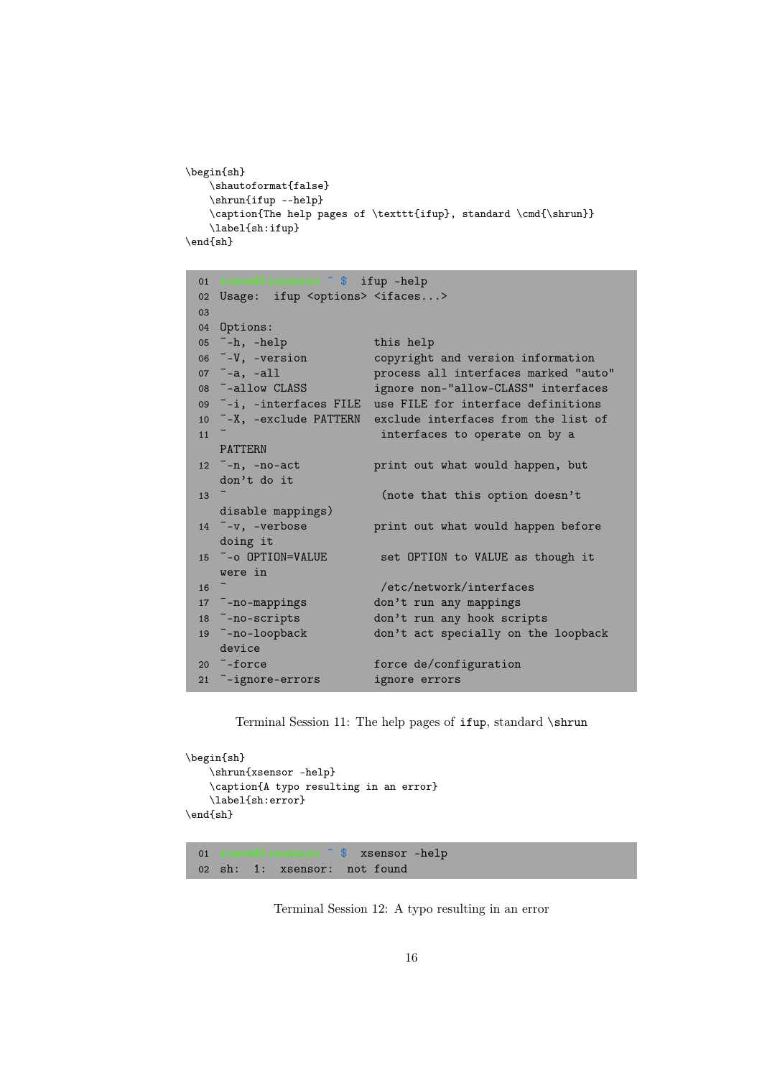```
\begin{sh}
   \shautoformat{false}
   \shrun{ifup --help}
   \caption{The help pages of \texttt{ifup}, standard \cmd{\shrun}}
   \label{sh:ifup}
\end{sh}
 01 simon@linuxmint ˜ $ ifup –help
 02 Usage: ifup <options> <ifaces...>
 03
 04 Options:
 05 <sup>-</sup>-h, -help this help<br>06 <sup>-</sup>-V, -version copyright
 06 <sup>-</sup>-V, -version copyright and version information<br>07 <sup>-</sup>-a, -all process all interfaces marked "au
 07 <sup>-</sup>-a, -all process all interfaces marked "auto"<br>08 <sup>-</sup>-allow CLASS ignore non-"allow-CLASS" interfaces
                            ignore non-"allow-CLASS" interfaces
 09 ¯-i, –interfaces FILE use FILE for interface definitions
 10 ¯-X, –exclude PATTERN exclude interfaces from the list of
 11 <sup>-</sup> interfaces to operate on by a
     PATTERN
 12 ¯-n, –no-act print out what would happen, but
     don't do it
 13 ^- (note that this option doesn't
     disable mappings)
 14 ¯-v, –verbose print out what would happen before
     doing it
 15 ^--o OPTION=VALUE set OPTION to VALUE as though it
     were in
 16 ^- /etc/network/interfaces
 17 ¯–no-mappings don't run any mappings
 18 ¯–no-scripts don't run any hook scripts
 19 ¯–no-loopback don't act specially on the loopback
    device
 20 -force force de/configuration
 21 ¯–ignore-errors ignore errors
```
Terminal Session 11: The help pages of ifup, standard \shrun

```
\begin{sh}
    \shrun{xsensor -help}
   \caption{A typo resulting in an error}
   \label{sh:error}
\end{sh}
```
01 simon@linuxmint ˜ \$ xsensor -help 02 sh: 1: xsensor: not found

Terminal Session 12: A typo resulting in an error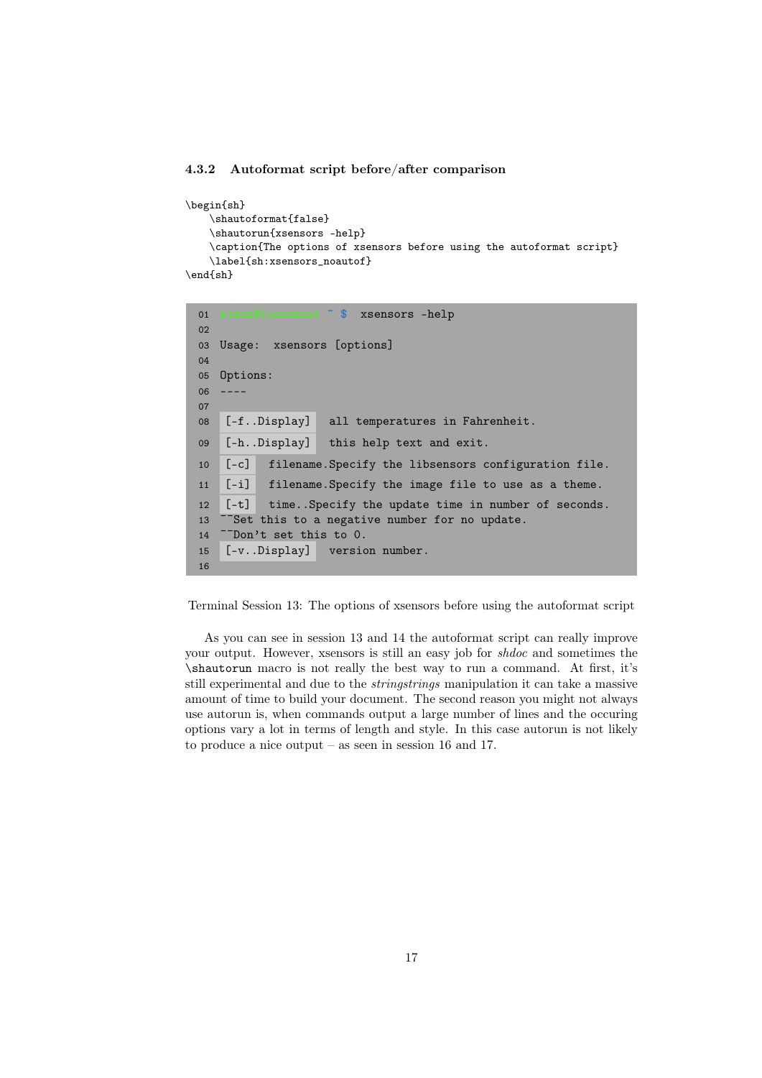#### <span id="page-16-0"></span>4.3.2 Autoformat script before/after comparison

```
\begin{sh}
   \shautoformat{false}
   \shautorun{xsensors -help}
   \caption{The options of xsensors before using the autoformat script}
   \label{sh:xsensors_noautof}
\end{sh}
```

```
01 simon@linuxmint ˜ $ xsensors -help
02
03 Usage: xsensors [options]
04
05 Options:
06 ––––
07
08 [-f..Display] all temperatures in Fahrenheit.
09 [-h..Display] this help text and exit.
10 [-c] filename.Specify the libsensors configuration file.
11 [-i] filename.Specify the image file to use as a theme.
12 [-t] time..Specify the update time in number of seconds.
13 <sup>--</sup>Set this to a negative number for no update.
14 <sup>--</sup>Don't set this to 0.
15 [-v..Display] version number.
16
```
Terminal Session 13: The options of xsensors before using the autoformat script

As you can see in session [13](#page-16-1) and [14](#page-17-0) the autoformat script can really improve your output. However, xsensors is still an easy job for shdoc and sometimes the \shautorun macro is not really the best way to run a command. At first, it's still experimental and due to the stringstrings manipulation it can take a massive amount of time to build your document. The second reason you might not always use autorun is, when commands output a large number of lines and the occuring options vary a lot in terms of length and style. In this case autorun is not likely to produce a nice output – as seen in session [16](#page-19-0) and [17.](#page-20-0)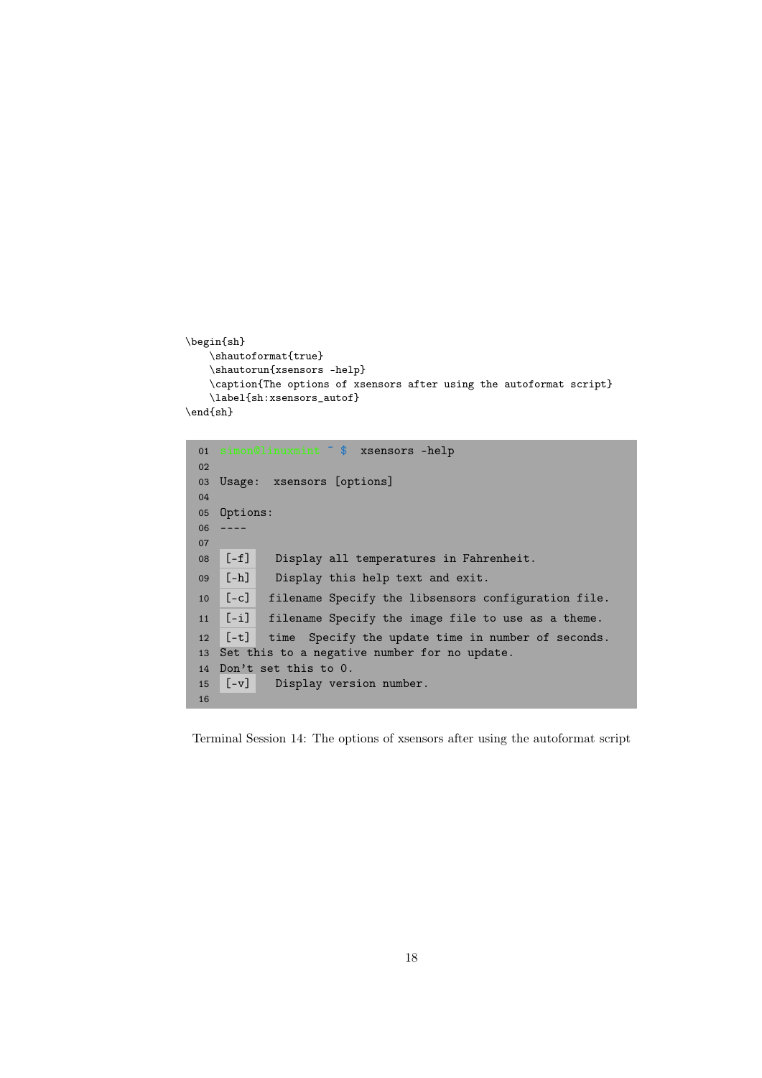```
\begin{sh}
    \shautoformat{true}
    \shautorun{xsensors -help}
    \caption{The options of xsensors after using the autoformat script}
    \label{sh:xsensors_autof}
\end{sh}
```

```
01 simon@linuxmint ˜ $ xsensors -help
02
03 Usage: xsensors [options]
04
05 Options:
06 ––––
07
08 [-f] Display all temperatures in Fahrenheit.
09 [-h] Display this help text and exit.
10 [-c] filename Specify the libsensors configuration file.
11 [-i] filename Specify the image file to use as a theme.
12 [-t] time Specify the update time in number of seconds.
13 Set this to a negative number for no update.
14 Don't set this to 0.
15 [-v] Display version number.
16
```
Terminal Session 14: The options of xsensors after using the autoformat script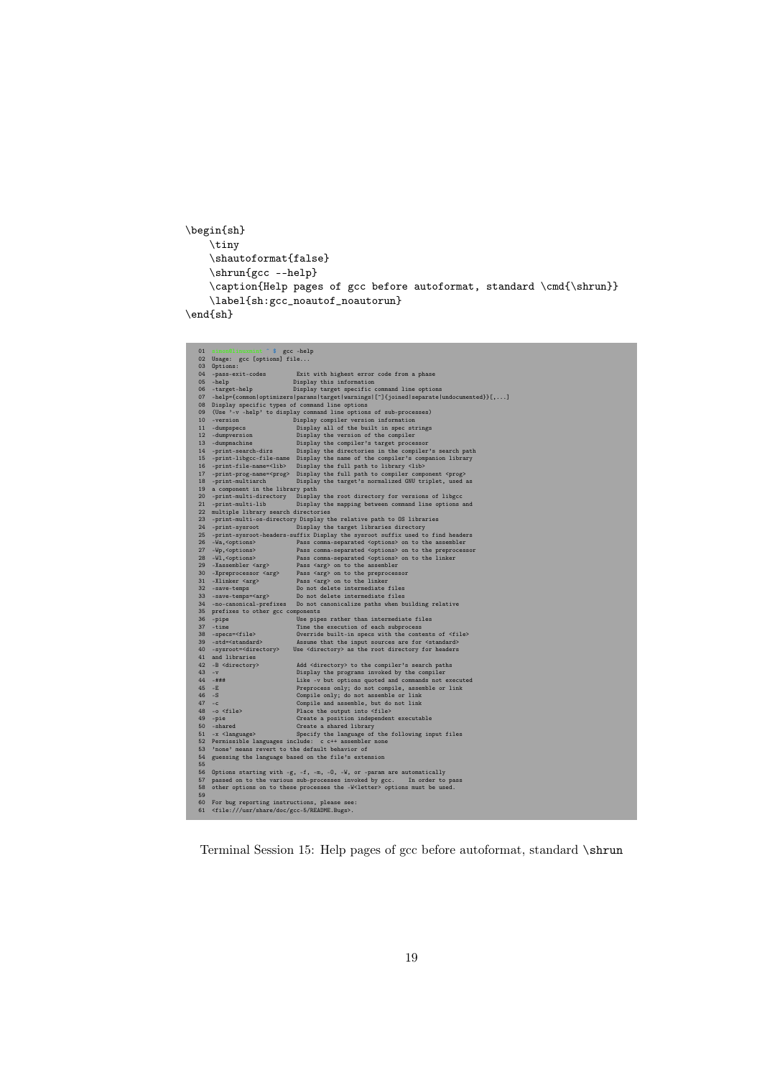```
\begin{sh}
   \tiny
   \shautoformat{false}
   \verb|\shrun{gcc --help}|\caption{Help pages of gcc before autoformat, standard \cmd{\shrun}}
   \label{sh:gcc_noautof_noautorun}
```
 $\verb|\end{sh}|$ 

| 01       | simon@linuxmint ~ \$ gcc -help                                     |                                                                                                         |
|----------|--------------------------------------------------------------------|---------------------------------------------------------------------------------------------------------|
|          | 02 Usage: gcc [options] file                                       |                                                                                                         |
|          | 03 Options:                                                        |                                                                                                         |
|          | 04 -pass-exit-codes                                                | Exit with highest error code from a phase                                                               |
|          | 05 -help                                                           | Display this information                                                                                |
|          | 06 -target-help                                                    | Display target specific command line options                                                            |
|          |                                                                    | 07 -help={common   optimizers   params   target   warnings   [^] {joined   separate   undocumented}}[,] |
|          | 08 Display specific types of command line options                  |                                                                                                         |
|          |                                                                    | 09 (Use '-v -help' to display command line options of sub-processes)                                    |
|          | 10 -version                                                        | Display compiler version information                                                                    |
|          | 11 -dumpspecs                                                      | Display all of the built in spec strings                                                                |
|          | 12 -dumpversion                                                    | Display the version of the compiler                                                                     |
|          | 13 -dumpmachine                                                    | Display the compiler's target processor                                                                 |
|          | 14 -print-search-dirs                                              | Display the directories in the compiler's search path                                                   |
|          |                                                                    | 15 -print-libgcc-file-name Display the name of the compiler's companion library                         |
|          | 16 -print-file-name= <lib></lib>                                   | Display the full path to library <lib></lib>                                                            |
|          |                                                                    | 17 -print-prog-name= <prog> Display the full path to compiler component <prog></prog></prog>            |
|          | 18 -print-multiarch                                                | Display the target's normalized GNU triplet, used as                                                    |
|          | 19 a component in the library path                                 |                                                                                                         |
|          | 20 -print-multi-directory                                          | Display the root directory for versions of libgcc                                                       |
|          | 21 -print-multi-lib                                                | Display the mapping between command line options and                                                    |
|          | 22 multiple library search directories                             |                                                                                                         |
|          |                                                                    | 23 -print-multi-os-directory Display the relative path to OS libraries                                  |
|          | 24 -print-sysroot                                                  | Display the target libraries directory                                                                  |
|          |                                                                    | 25 -print-sysroot-headers-suffix Display the sysroot suffix used to find headers                        |
|          | 26 - Wa, <options></options>                                       | Pass comma-separated <options> on to the assembler</options>                                            |
|          | 27 - Wp, <options></options>                                       | Pass comma-separated <options> on to the preprocessor</options>                                         |
|          | 28 -Wl, <options></options>                                        | Pass comma-separated <options> on to the linker</options>                                               |
|          | 29 -Xassembler <arg></arg>                                         | Pass <arg> on to the assembler</arg>                                                                    |
|          | 30 -Xpreprocessor <arg></arg>                                      | Pass <arg> on to the preprocessor</arg>                                                                 |
|          | 31 -Xlinker <arg></arg>                                            | Pass <arg> on to the linker</arg>                                                                       |
|          | 32 - save-temps                                                    | Do not delete intermediate files                                                                        |
|          |                                                                    | Do not delete intermediate files                                                                        |
|          | 33 -save-temps= <arg></arg>                                        | 34 -no-canonical-prefixes Do not canonicalize paths when building relative                              |
|          |                                                                    |                                                                                                         |
|          | 35 prefixes to other gcc components                                |                                                                                                         |
|          | 36 -pipe                                                           | Use pipes rather than intermediate files                                                                |
|          | 37 -time                                                           | Time the execution of each subprocess                                                                   |
|          | 38 -specs= <file><br/>39 -std=<standard></standard></file>         | Override built-in specs with the contents of <file></file>                                              |
|          |                                                                    | Assume that the input sources are for <standard></standard>                                             |
|          | 40 -sysroot= <directory></directory>                               | Use <directory> as the root directory for headers</directory>                                           |
|          | 41 and libraries                                                   |                                                                                                         |
|          | 42 -B <directory></directory>                                      | Add <directory> to the compiler's search paths</directory>                                              |
| $43 - v$ |                                                                    | Display the programs invoked by the compiler                                                            |
|          | $44 - # # #$                                                       | Like -v but options quoted and commands not executed                                                    |
| $45 - E$ |                                                                    | Preprocess only; do not compile, assemble or link                                                       |
| $46 - S$ |                                                                    | Compile only; do not assemble or link                                                                   |
| $47 - c$ |                                                                    | Compile and assemble, but do not link                                                                   |
|          | $48 - o$ <file></file>                                             | Place the output into <file></file>                                                                     |
|          | $49$ -pie                                                          | Create a position independent executable                                                                |
|          | 50 - shared                                                        | Create a shared library                                                                                 |
|          | $51 - x$ <language></language>                                     | Specify the language of the following input files                                                       |
|          |                                                                    | 52 Permissible languages include: c c++ assembler none                                                  |
|          | 53 'none' means revert to the default behavior of                  |                                                                                                         |
|          |                                                                    | 54 guessing the language based on the file's extension                                                  |
| 55       |                                                                    |                                                                                                         |
|          |                                                                    | 56 Options starting with -g, -f, -m, -O, -W, or -param are automatically                                |
|          |                                                                    | 57 passed on to the various sub-processes invoked by gcc.<br>In order to pass                           |
|          |                                                                    | 58 other options on to these processes the -W <letter> options must be used.</letter>                   |
| 59       |                                                                    |                                                                                                         |
|          | 60 For bug reporting instructions, please see:                     |                                                                                                         |
|          | 61 <file: doc="" gcc-5="" readme.bugs="" share="" usr="">.</file:> |                                                                                                         |

Terminal Session 15: Help pages of gcc before autoformat, standard \shrun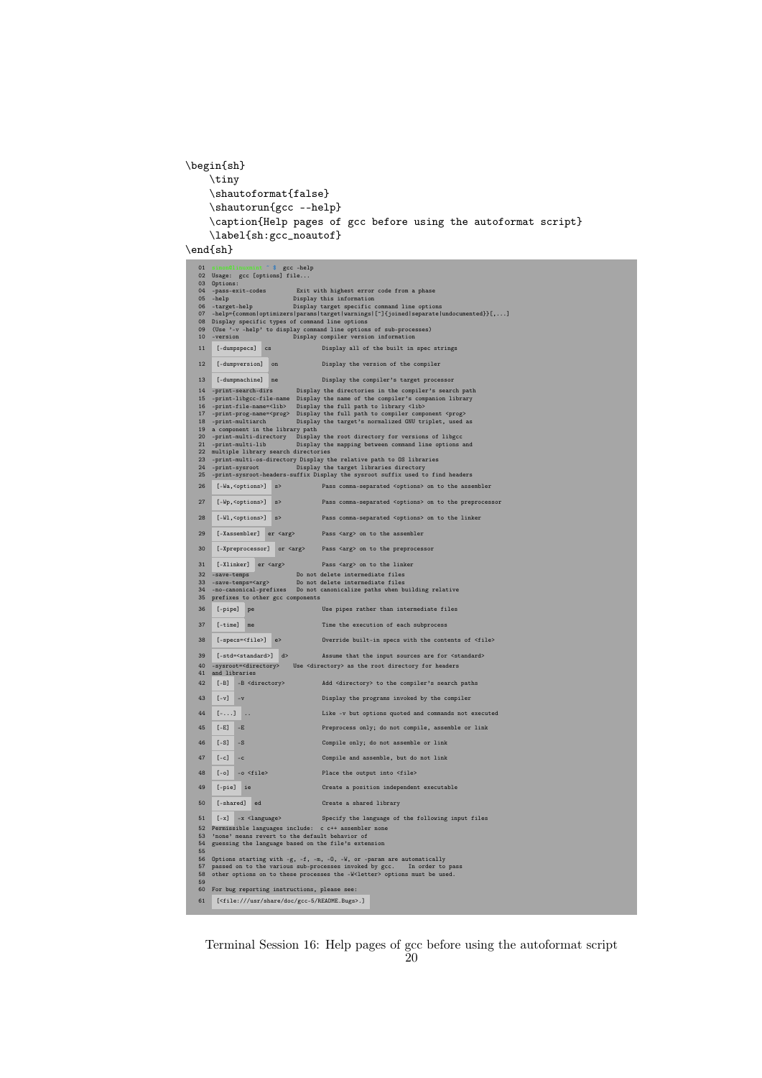```
\begin{sh}
    \tiny
    \shautoformat{false}
    \shautorun{gcc --help}
    \caption{Help pages of gcc before using the autoformat script}
   \label{sh:gcc_noautof}
```
\end{sh}

```
01 simon@linuxmint ˜ $ gcc –help
02 Usage: gcc [options] file...
03 Options:
 04 - pass-exit-codes Exit with highest error code from a phase<br>
05 -help Display this information<br>
06 -target-help Display target specific command line options<br>
07 -help<sup>2</sup> (common loptimizers) parameliarget lyarnings | []
11 [-dumpspecs] cs Display all of the built in spec strings
12 [-dumpversion] on Display the version of the compiler
13 [-dumpmachine] ne Display the compiler's target processor
 14 -print-search-dirs Display the directories in the compiler's search path<br>15 -print-libgco-file-name Display the name of the compiler's companion library<br>16 -print-file-name=<lib>Display the full path to library <lib><br>16
 19 a component in the library path<br>
20 -print-multi-directory Display the root directory for versions of libgcc<br>
21 -print-multi-lib Display the mapping between command line options and<br>
22 multiple library search directo
26 [-Wa, <options>] s> Pass comma-separated <options> on to the assembler
27 [-Wp,<options>] s> Pass comma-separated <options> on to the preprocessor
28 [-Wl,<options>] s> Pass comma-separated <options> on to the linker
29 [-Xassembler] er <arg> Pass <arg> on to the assembler
30 [-Xpreprocessor] or <arg> Pass <arg> on to the preprocessor
31 [-Xlinker] er <arg> Pass <arg> on to the linker
 32 -save-temps Do not delete intermediate files
33 -save-temps=<arg> Do not delete intermediate files
34 -no-canonical-prefixes Do not canonicalize paths when building relative
35 prefixes to other gcc components
36 [-pipe] pe Use pipes rather than intermediate files
37 [-time] me Time the execution of each subprocess
38 [-specs=<file>] e> Override built-in specs with the contents of <file>
 39 [-std=<standard>] d> Assume that the input sources are for <standard><br>40 –sysroot=<directory> Use <directory> as the root directory for headers<br>41 and libraries
42 [-B] -B <directory> Add <directory> to the compiler's search paths
43 [-v] -v Display the programs invoked by the compiler
44 [-...] .. Like -v but options quoted and commands not executed
45 [-E] -E Preprocess only; do not compile, assemble or link
46 [-S] -S Compile only; do not assemble or link
47 [-c] -c Compile and assemble, but do not link
48 [-o] -o <file> Place the output into <file>
49 [-pie] ie Create a position independent executable
50 [-shared] ed Create a shared library
51 [-x] -x <language> Specify the language of the following input files
 52 Permissible languages include: c c++ assembler none
53 'none' means revert to the default behavior of
54 guessing the language based on the file's extension
54<br>55<br>56<br>57
 56 Options starting with -g, -f, -m, -O, -W, or -param are automatically<br>57 passed on to the various sub-processes invoked by gcc. In order to pass<br>58 other options on to these processes the -W<letter> options must be used
 59
60 For bug reporting instructions, please see:
61 [<file:///usr/share/doc/gcc-5/README.Bugs>.]
```
Terminal Session 16: Help pages of gcc before using the autoformat script  $50$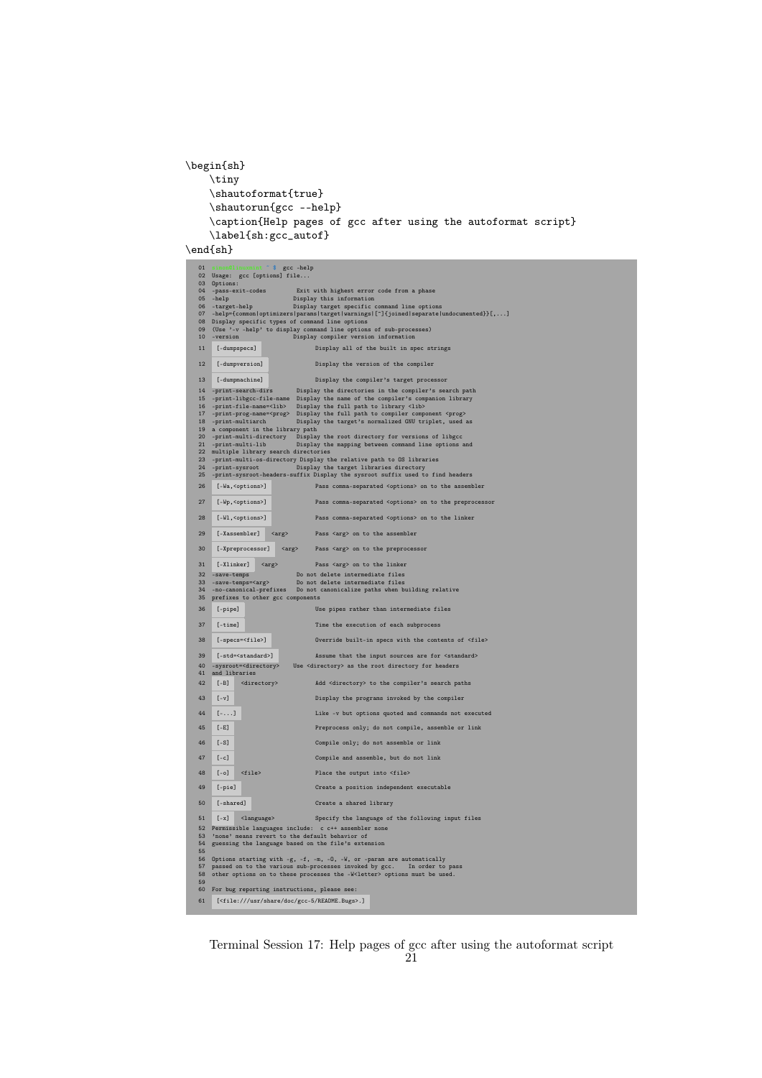```
\begin{sh}
    \tiny
    \shautoformat{true}
    \verb|\shautorum{gcc --help}|\caption{Help pages of gcc after using the autoformat script}
    \label{sh:gcc_autof}
```
 $\end{sh}$ 

| 01              | s                                                                  | gcc -help                                                                                                                                                           |
|-----------------|--------------------------------------------------------------------|---------------------------------------------------------------------------------------------------------------------------------------------------------------------|
|                 | 02 Usage: gcc [options] file                                       |                                                                                                                                                                     |
|                 | 03 Options:                                                        |                                                                                                                                                                     |
| 04              | -pass-exit-codes                                                   | Exit with highest error code from a phase                                                                                                                           |
|                 | $05 - help$                                                        | Display this information                                                                                                                                            |
|                 | 06 -target-help                                                    | Display target specific command line options<br>07 -help={common optimizers params target warnings [^]{joined separate undocumented}}[,]                            |
|                 | 08 Display specific types of command line options                  |                                                                                                                                                                     |
| 09              |                                                                    | (Use '-v -help' to display command line options of sub-processes)                                                                                                   |
| 10              | -version                                                           | Display compiler version information                                                                                                                                |
| 11              | [-dumpspecs]                                                       |                                                                                                                                                                     |
|                 |                                                                    | Display all of the built in spec strings                                                                                                                            |
| 12              | [-dumpversion]                                                     | Display the version of the compiler                                                                                                                                 |
|                 |                                                                    |                                                                                                                                                                     |
| 13              | [-dumpmachine]                                                     | Display the compiler's target processor                                                                                                                             |
|                 | 14 -print-search-dirs                                              |                                                                                                                                                                     |
|                 |                                                                    | Display the directories in the compiler's search path                                                                                                               |
|                 |                                                                    | 15 -print-libgcc-file-name Display the name of the compiler's companion library<br>16 -print-file-name= <lib> Display the full path to library <lib></lib></lib>    |
| 17              |                                                                    | -print-prog-name= <prog> Display the full path to compiler component <prog></prog></prog>                                                                           |
|                 | 18 -print-multiarch                                                | Display the target's normalized GNU triplet, used as                                                                                                                |
|                 | 19 a component in the library path                                 |                                                                                                                                                                     |
| 20 <sub>2</sub> |                                                                    | -print-multi-directory Display the root directory for versions of libgcc                                                                                            |
| 21              | -print-multi-lib<br>22 multiple library search directories         | Display the mapping between command line options and                                                                                                                |
| 23 <sub>o</sub> |                                                                    | -print-multi-os-directory Display the relative path to OS libraries                                                                                                 |
| 24              | -print-sysroot                                                     | Display the target libraries directory                                                                                                                              |
| 25              |                                                                    | -print-sysroot-headers-suffix Display the sysroot suffix used to find headers                                                                                       |
| 26              | [-Wa, <options>]</options>                                         | Pass comma-separated <options> on to the assembler</options>                                                                                                        |
|                 |                                                                    |                                                                                                                                                                     |
| 27              | [-Wp, <options>]</options>                                         | Pass comma-separated <options> on to the preprocessor</options>                                                                                                     |
|                 |                                                                    |                                                                                                                                                                     |
| 28              | [-Wl, <options>]</options>                                         | Pass comma-separated <options> on to the linker</options>                                                                                                           |
|                 |                                                                    |                                                                                                                                                                     |
| 29              | [-Xassembler]<br><arg></arg>                                       | Pass <arg> on to the assembler</arg>                                                                                                                                |
|                 |                                                                    |                                                                                                                                                                     |
| 30              | $\langle \text{arg} \rangle$<br>[-Xpreprocessor]                   | Pass <arg> on to the preprocessor</arg>                                                                                                                             |
| 31              | [-Xlinker]                                                         |                                                                                                                                                                     |
|                 | $\langle \text{arg} \rangle$                                       | Pass <arg> on to the linker</arg>                                                                                                                                   |
| 32              | -save-temps                                                        | Do not delete intermediate files                                                                                                                                    |
| 33<br>34        | -save-temps= <arg><br/>-no-canonical-prefixes</arg>                | Do not delete intermediate files<br>Do not canonicalize paths when building relative                                                                                |
|                 | 35 prefixes to other gcc components                                |                                                                                                                                                                     |
|                 |                                                                    |                                                                                                                                                                     |
| 36              | [-pipe]                                                            | Use pipes rather than intermediate files                                                                                                                            |
| 37              | $[-time]$                                                          | Time the execution of each subprocess                                                                                                                               |
|                 |                                                                    |                                                                                                                                                                     |
| 38              | $[ -specs = $                                                      | Override built-in specs with the contents of <file></file>                                                                                                          |
|                 |                                                                    |                                                                                                                                                                     |
| 39              | [-std= <standard>]</standard>                                      | Assume that the input sources are for <standard></standard>                                                                                                         |
| 40              | -sysroot= <directory></directory>                                  | Use <directory> as the root directory for headers</directory>                                                                                                       |
| 41              | and libraries                                                      |                                                                                                                                                                     |
| 42              | $[-B]$<br><directory></directory>                                  | Add <directory> to the compiler's search paths</directory>                                                                                                          |
|                 |                                                                    |                                                                                                                                                                     |
| 43              | $[-v]$                                                             | Display the programs invoked by the compiler                                                                                                                        |
| 44              | $[-]$                                                              | Like -v but options quoted and commands not executed                                                                                                                |
|                 |                                                                    |                                                                                                                                                                     |
| 45              | $[-E]$                                                             | Preprocess only; do not compile, assemble or link                                                                                                                   |
|                 |                                                                    |                                                                                                                                                                     |
| 46              | $[-S]$                                                             | Compile only; do not assemble or link                                                                                                                               |
|                 |                                                                    |                                                                                                                                                                     |
| 47              | $[-c]$                                                             | Compile and assemble, but do not link                                                                                                                               |
| 48              | $[-0]$<br>$<$ file>                                                | Place the output into <file></file>                                                                                                                                 |
|                 |                                                                    |                                                                                                                                                                     |
| 49              | [-pie]                                                             | Create a position independent executable                                                                                                                            |
|                 |                                                                    |                                                                                                                                                                     |
| 50              | $[-shared]$                                                        | Create a shared library                                                                                                                                             |
|                 |                                                                    |                                                                                                                                                                     |
| 51              | $[-x]$<br><language></language>                                    | Specify the language of the following input files                                                                                                                   |
|                 |                                                                    | 52 Permissible languages include: c c++ assembler none                                                                                                              |
|                 |                                                                    |                                                                                                                                                                     |
| 53              | 'none' means revert to the default behavior of                     |                                                                                                                                                                     |
|                 |                                                                    | 54 guessing the language based on the file's extension                                                                                                              |
| 55              |                                                                    |                                                                                                                                                                     |
|                 |                                                                    | 56 Options starting with -g, -f, -m, -0, -W, or -param are automatically                                                                                            |
|                 |                                                                    | 57 passed on to the various sub-processes invoked by gcc. In order to pass<br>58 other options on to these processes the -W <letter> options must be used.</letter> |
| 59              |                                                                    |                                                                                                                                                                     |
|                 | 60 For bug reporting instructions, please see:                     |                                                                                                                                                                     |
| 61              | [ <file: doc="" gcc-5="" readme.bugs="" share="" usr="">.]</file:> |                                                                                                                                                                     |

Terminal Session 17: Help pages of gcc after using the autoformat script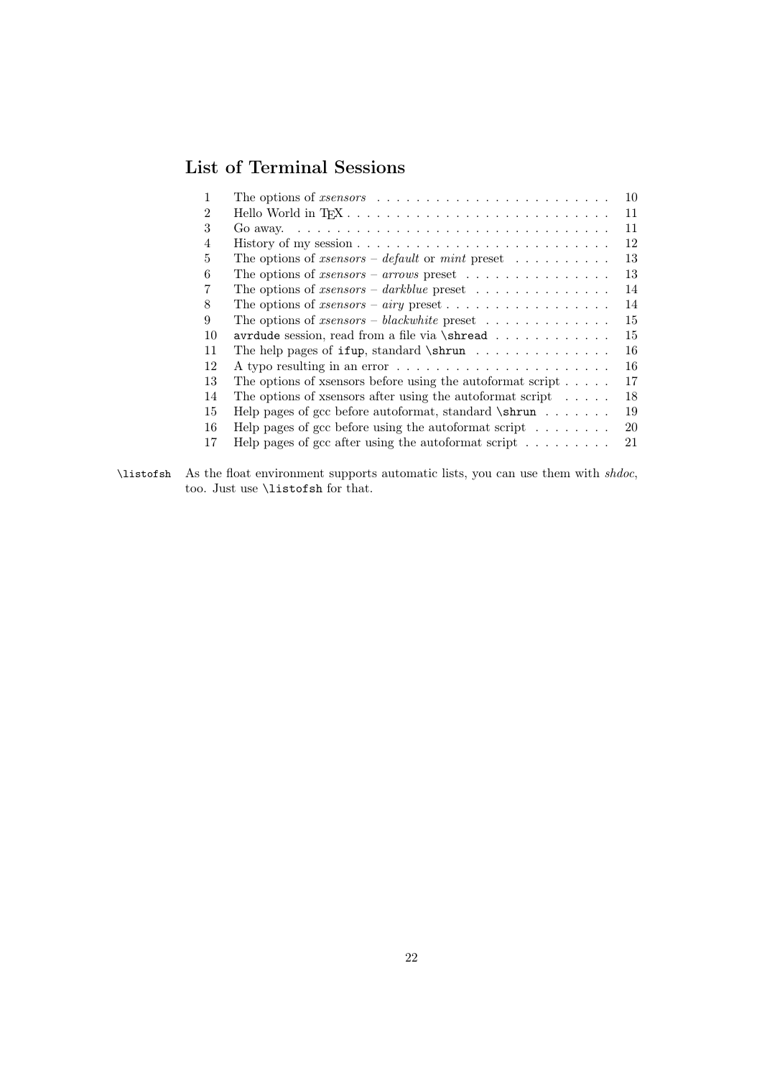# List of Terminal Sessions

|                | The options of <i>xsensors</i> $\ldots \ldots \ldots \ldots \ldots \ldots \ldots \ldots$       | 10 |
|----------------|------------------------------------------------------------------------------------------------|----|
| 2              |                                                                                                | 11 |
| 3              | Go away. $\ldots \ldots \ldots \ldots \ldots \ldots \ldots \ldots \ldots \ldots \ldots \ldots$ | 11 |
| $\overline{4}$ | History of my session $\ldots \ldots \ldots \ldots \ldots \ldots \ldots \ldots$                | 12 |
| 5              | The options of <i>xsensors – default</i> or <i>mint</i> preset $\dots \dots \dots$             | 13 |
| 6              | The options of <i>xsensors – arrows</i> preset $\ldots \ldots \ldots \ldots \ldots$            | 13 |
| 7              | The options of <i>xsensors</i> – <i>darkblue</i> preset $\ldots \ldots \ldots \ldots \ldots$   | 14 |
| 8              |                                                                                                | 14 |
| 9              | The options of <i>xsensors – blackwhite</i> preset $\ldots \ldots \ldots \ldots$               | 15 |
| 10             | avrdude session, read from a file via \shread                                                  | 15 |
| 11             | The help pages of $ifup, standard \shrun \ldots \ldots \ldots$                                 | 16 |
| 12             |                                                                                                | 16 |
| 13             | The options of x sensors before using the autoformat script $\dots$ .                          | 17 |
| 14             | The options of x sensors after using the autoformat script $\ldots$ .                          | 18 |
| 15             | Help pages of gcc before autoformat, standard $\sum$                                           | 19 |
| 16             | Help pages of gcc before using the autoformat script $\dots \dots$                             | 20 |
| 17             | Help pages of gcc after using the autoformat script $\dots \dots$                              | 21 |

\listofsh As the float environment supports automatic lists, you can use them with shdoc, too. Just use \listofsh for that.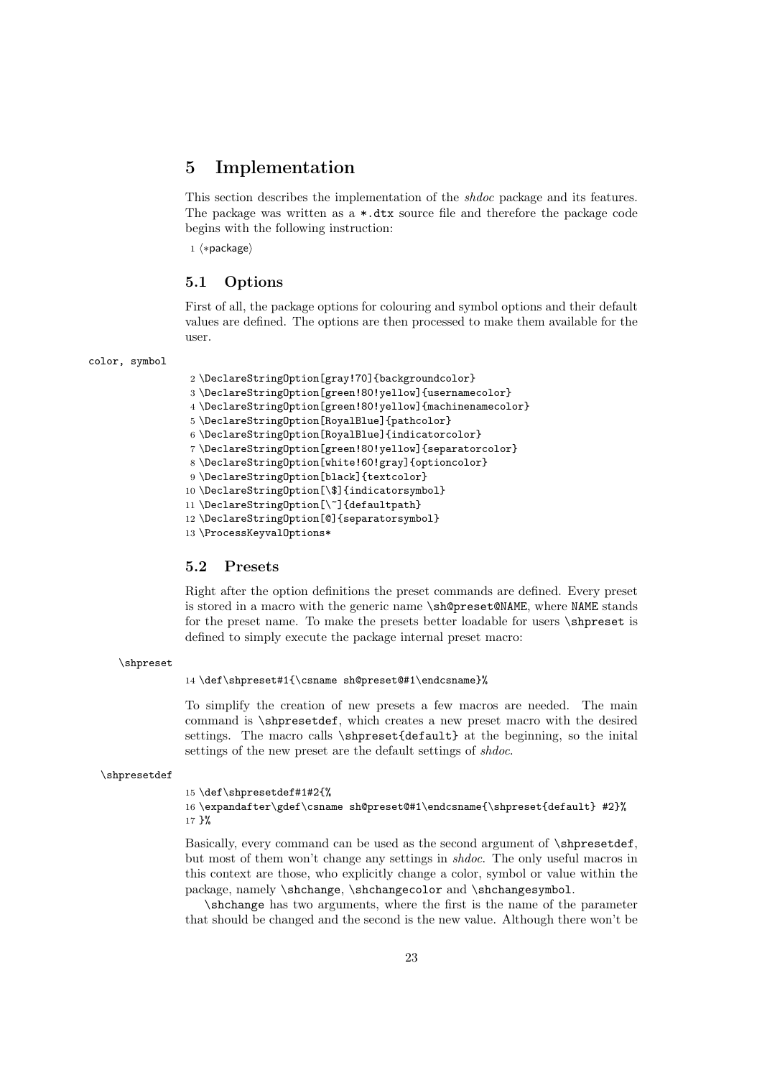### <span id="page-22-0"></span>5 Implementation

This section describes the implementation of the shdoc package and its features. The package was written as a \*.dtx source file and therefore the package code begins with the following instruction:

1 (\*package)

#### <span id="page-22-1"></span>5.1 Options

First of all, the package options for colouring and symbol options and their default values are defined. The options are then processed to make them available for the user.

#### color, symbol

```
2 \DeclareStringOption[gray!70]{backgroundcolor}
3 \DeclareStringOption[green!80!yellow]{usernamecolor}
4 \DeclareStringOption[green!80!yellow]{machinenamecolor}
5 \DeclareStringOption[RoyalBlue]{pathcolor}
6 \DeclareStringOption[RoyalBlue]{indicatorcolor}
7 \DeclareStringOption[green!80!yellow]{separatorcolor}
8 \DeclareStringOption[white!60!gray]{optioncolor}
9 \DeclareStringOption[black]{textcolor}
10 \DeclareStringOption[\$]{indicatorsymbol}
11 \DeclareStringOption[\~]{defaultpath}
12 \DeclareStringOption[@]{separatorsymbol}
13 \ProcessKeyvalOptions*
```
#### <span id="page-22-2"></span>5.2 Presets

Right after the option definitions the preset commands are defined. Every preset is stored in a macro with the generic name \sh@preset@NAME, where NAME stands for the preset name. To make the presets better loadable for users \shpreset is defined to simply execute the package internal preset macro:

#### \shpreset

14 \def\shpreset#1{\csname sh@preset@#1\endcsname}%

To simplify the creation of new presets a few macros are needed. The main command is \shpresetdef, which creates a new preset macro with the desired settings. The macro calls \shpreset{default} at the beginning, so the inital settings of the new preset are the default settings of *shdoc*.

```
\shpresetdef
```
15 \def\shpresetdef#1#2{%

```
16 \expandafter\gdef\csname sh@preset@#1\endcsname{\shpreset{default} #2}%
17 }%
```
Basically, every command can be used as the second argument of \shpresetdef, but most of them won't change any settings in shdoc. The only useful macros in this context are those, who explicitly change a color, symbol or value within the package, namely \shchange, \shchangecolor and \shchangesymbol.

\shchange has two arguments, where the first is the name of the parameter that should be changed and the second is the new value. Although there won't be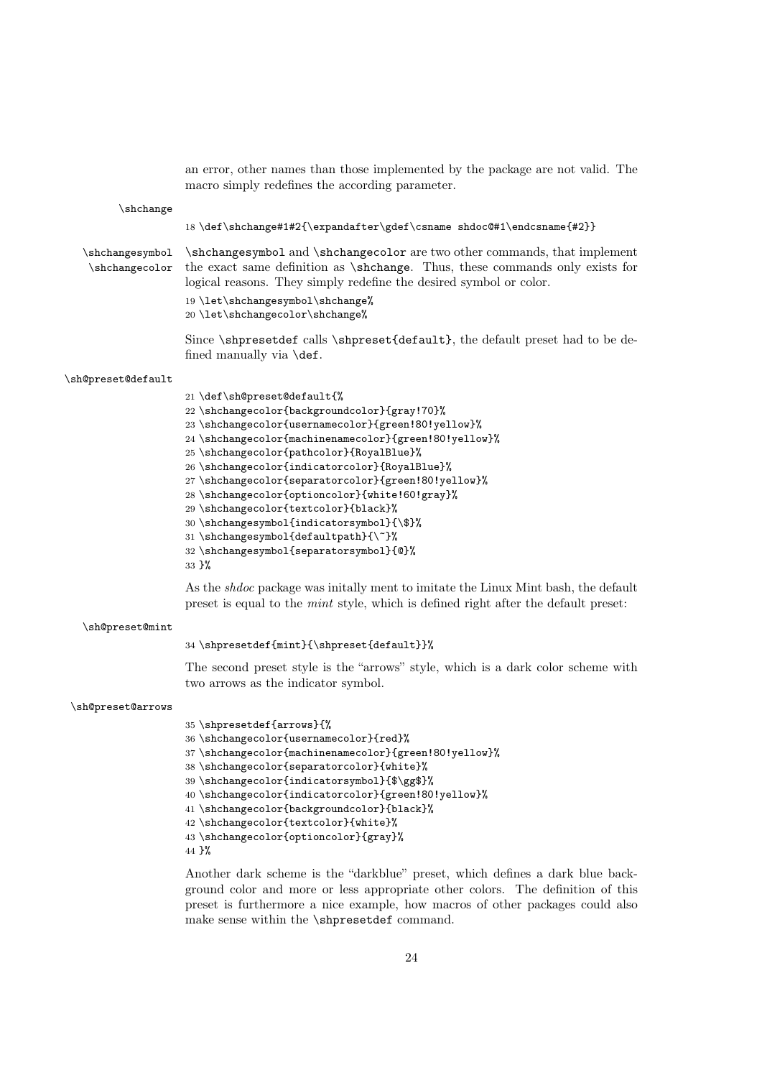|                                   | an error, other names than those implemented by the package are not valid. The<br>macro simply redefines the according parameter.                                                                                                                                                                                                                                                                                                                                                                                                                                                                                                                                                                                                                                            |
|-----------------------------------|------------------------------------------------------------------------------------------------------------------------------------------------------------------------------------------------------------------------------------------------------------------------------------------------------------------------------------------------------------------------------------------------------------------------------------------------------------------------------------------------------------------------------------------------------------------------------------------------------------------------------------------------------------------------------------------------------------------------------------------------------------------------------|
| \shchange                         |                                                                                                                                                                                                                                                                                                                                                                                                                                                                                                                                                                                                                                                                                                                                                                              |
|                                   | 18 \def\shchange#1#2{\expandafter\gdef\csname shdoc@#1\endcsname{#2}}                                                                                                                                                                                                                                                                                                                                                                                                                                                                                                                                                                                                                                                                                                        |
| \shchangesymbol<br>\shchangecolor | \shchangesymbol and \shchangecolor are two other commands, that implement<br>the exact same definition as <i>shchange</i> . Thus, these commands only exists for<br>logical reasons. They simply redefine the desired symbol or color.<br>19 \let\shchangesymbol\shchange%<br>20 \let\shchangecolor\shchange%                                                                                                                                                                                                                                                                                                                                                                                                                                                                |
|                                   | Since \shpresetdef calls \shpreset{default}, the default preset had to be de-<br>fined manually via \def.                                                                                                                                                                                                                                                                                                                                                                                                                                                                                                                                                                                                                                                                    |
| \sh@preset@default                |                                                                                                                                                                                                                                                                                                                                                                                                                                                                                                                                                                                                                                                                                                                                                                              |
|                                   | 21 \def\sh@preset@default{%<br>22 \shchangecolor{backgroundcolor}{gray!70}%<br>23 \shchangecolor{usernamecolor}{green!80!yellow}%<br>24 \shchangecolor{machinenamecolor}{green!80!yellow}%<br>25 \shchangecolor{pathcolor}{RoyalBlue}%<br>26 \shchangecolor{indicatorcolor}{RoyalBlue}%<br>27\shchangecolor{separatorcolor}{green!80!yellow}%<br>28 \shchangecolor{optioncolor}{white!60!gray}%<br>29 \shchangecolor{textcolor}{black}%<br>30 \shchangesymbol{indicatorsymbol}{\\$}%<br>31 \shchangesymbol{defaultpath}{\~}%<br>32 \shchangesymbol{separatorsymbol}{0}%<br>33 }%<br>As the <i>shaoc</i> package was initially ment to imitate the Linux Mint bash, the default<br>preset is equal to the <i>mint</i> style, which is defined right after the default preset: |
| \sh@preset@mint                   |                                                                                                                                                                                                                                                                                                                                                                                                                                                                                                                                                                                                                                                                                                                                                                              |
|                                   | 34 \shpresetdef{mint}{\shpreset{default}}%                                                                                                                                                                                                                                                                                                                                                                                                                                                                                                                                                                                                                                                                                                                                   |
|                                   | The second preset style is the "arrows" style, which is a dark color scheme with<br>two arrows as the indicator symbol.                                                                                                                                                                                                                                                                                                                                                                                                                                                                                                                                                                                                                                                      |
| \sh@preset@arrows                 |                                                                                                                                                                                                                                                                                                                                                                                                                                                                                                                                                                                                                                                                                                                                                                              |
|                                   | 35 \shpresetdef{arrows}{%<br>36 \shchangecolor{usernamecolor}{red}%<br>37\shchangecolor{machinenamecolor}{green!80!yellow}%<br>38 \shchangecolor{separatorcolor}{white}%<br>39 \shchangecolor{indicatorsymbol}{\$\gg\$}%<br>40 \shchangecolor{indicatorcolor}{green!80!yellow}%<br>41 \shchangecolor{backgroundcolor}{black}%<br>42 \shchangecolor{textcolor}{white}%<br>43 \shchangecolor{optioncolor}{gray}%<br>44 }%                                                                                                                                                                                                                                                                                                                                                      |

Another dark scheme is the "darkblue" preset, which defines a dark blue background color and more or less appropriate other colors. The definition of this preset is furthermore a nice example, how macros of other packages could also make sense within the \shpresetdef command.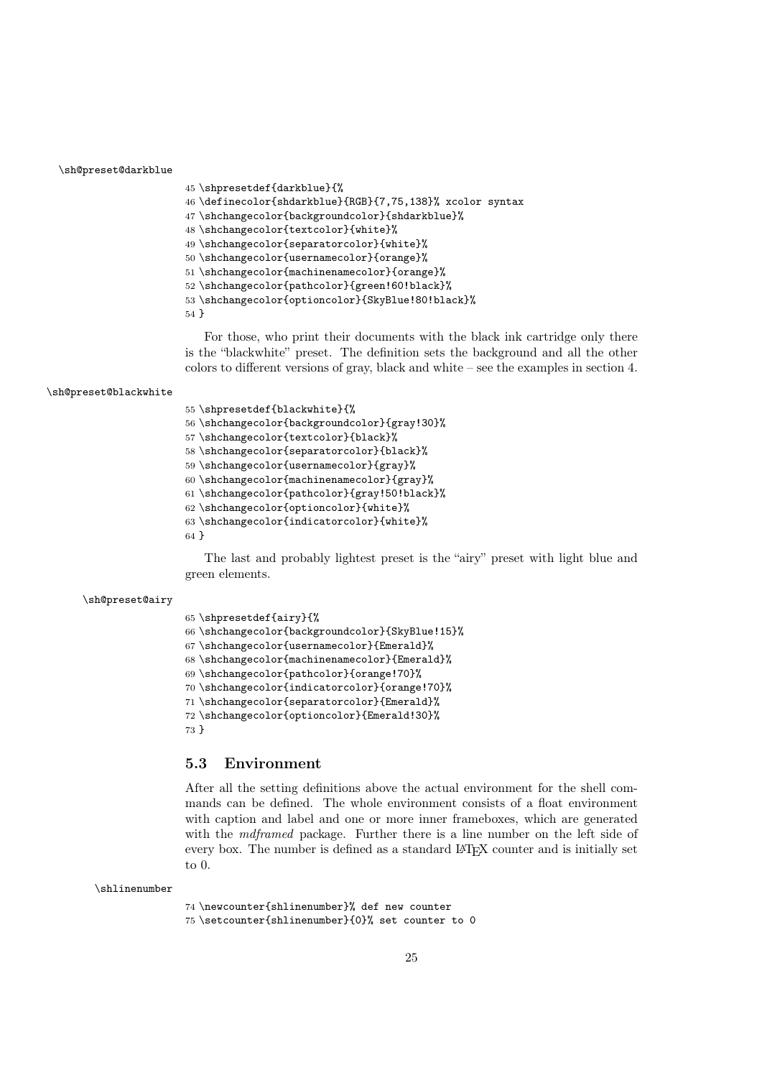#### \sh@preset@darkblue

```
45 \shpresetdef{darkblue}{%
46 \definecolor{shdarkblue}{RGB}{7,75,138}% xcolor syntax
47 \shchangecolor{backgroundcolor}{shdarkblue}%
48 \shchangecolor{textcolor}{white}%
49 \shchangecolor{separatorcolor}{white}%
50 \shchangecolor{usernamecolor}{orange}%
51 \shchangecolor{machinenamecolor}{orange}%
52 \shchangecolor{pathcolor}{green!60!black}%
53 \shchangecolor{optioncolor}{SkyBlue!80!black}%
54 }
```
For those, who print their documents with the black ink cartridge only there is the "blackwhite" preset. The definition sets the background and all the other colors to different versions of gray, black and white – see the examples in section [4.](#page-9-0)

#### \sh@preset@blackwhite

 \shpresetdef{blackwhite}{% \shchangecolor{backgroundcolor}{gray!30}% \shchangecolor{textcolor}{black}% \shchangecolor{separatorcolor}{black}% \shchangecolor{usernamecolor}{gray}% \shchangecolor{machinenamecolor}{gray}% \shchangecolor{pathcolor}{gray!50!black}% \shchangecolor{optioncolor}{white}% \shchangecolor{indicatorcolor}{white}% }

The last and probably lightest preset is the "airy" preset with light blue and green elements.

#### \sh@preset@airy

```
65 \shpresetdef{airy}{%
66 \shchangecolor{backgroundcolor}{SkyBlue!15}%
67 \shchangecolor{usernamecolor}{Emerald}%
68 \shchangecolor{machinenamecolor}{Emerald}%
69 \shchangecolor{pathcolor}{orange!70}%
70 \shchangecolor{indicatorcolor}{orange!70}%
71 \shchangecolor{separatorcolor}{Emerald}%
72 \shchangecolor{optioncolor}{Emerald!30}%
73 }
```
### <span id="page-24-0"></span>5.3 Environment

After all the setting definitions above the actual environment for the shell commands can be defined. The whole environment consists of a float environment with caption and label and one or more inner frameboxes, which are generated with the *mdframed* package. Further there is a line number on the left side of every box. The number is defined as a standard LAT<sub>EX</sub> counter and is initially set to 0.

#### \shlinenumber

```
74 \newcounter{shlinenumber}% def new counter
75 \setcounter{shlinenumber}{0}% set counter to 0
```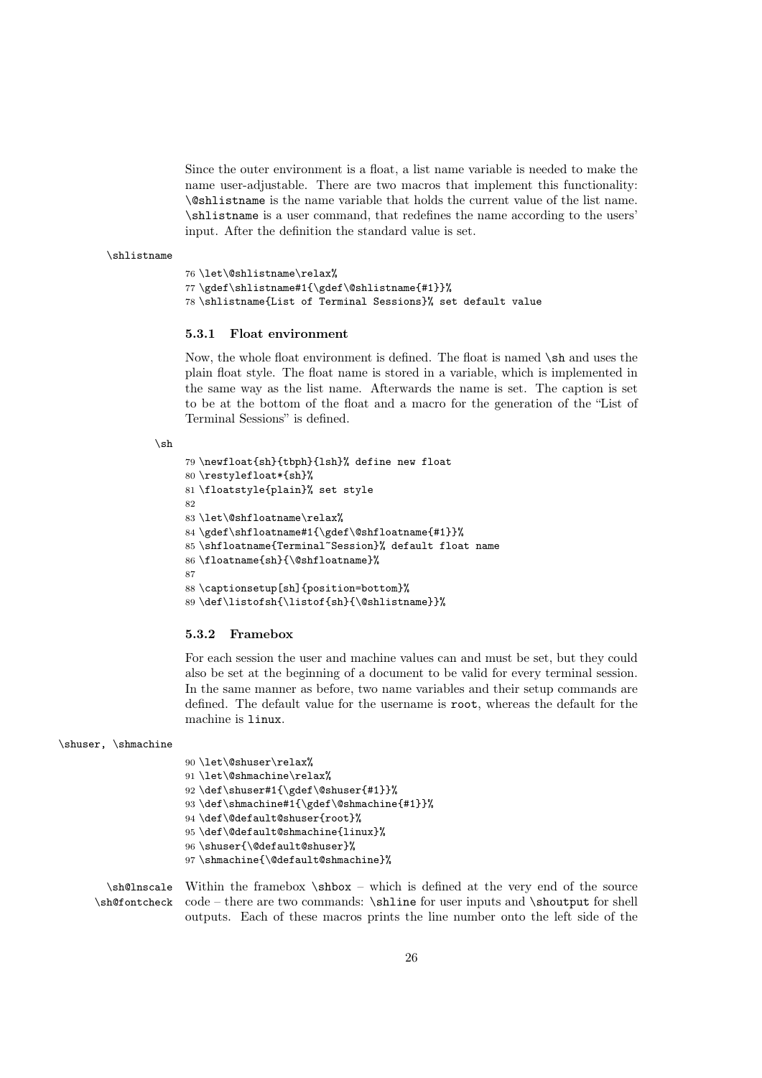Since the outer environment is a float, a list name variable is needed to make the name user-adjustable. There are two macros that implement this functionality: \@shlistname is the name variable that holds the current value of the list name. \shlistname is a user command, that redefines the name according to the users' input. After the definition the standard value is set.

#### \shlistname

```
76 \let\@shlistname\relax%
77 \gdef\shlistname#1{\gdef\@shlistname{#1}}%
78 \shlistname{List of Terminal Sessions}% set default value
```
#### <span id="page-25-0"></span>5.3.1 Float environment

Now, the whole float environment is defined. The float is named \sh and uses the plain float style. The float name is stored in a variable, which is implemented in the same way as the list name. Afterwards the name is set. The caption is set to be at the bottom of the float and a macro for the generation of the "List of Terminal Sessions" is defined.

#### $\mathbf{h}$

```
79 \newfloat{sh}{tbph}{lsh}% define new float
80 \restylefloat*{sh}%
81 \floatstyle{plain}% set style
82
83 \let\@shfloatname\relax%
84 \gdef\shfloatname#1{\gdef\@shfloatname{#1}}%
85 \shfloatname{Terminal~Session}% default float name
86 \floatname{sh}{\@shfloatname}%
87
88 \captionsetup[sh]{position=bottom}%
89 \def\listofsh{\listof{sh}{\@shlistname}}%
```
#### <span id="page-25-1"></span>5.3.2 Framebox

For each session the user and machine values can and must be set, but they could also be set at the beginning of a document to be valid for every terminal session. In the same manner as before, two name variables and their setup commands are defined. The default value for the username is root, whereas the default for the machine is linux.

#### \shuser, \shmachine

 \let\@shuser\relax% 91\let\@shmachine\relax% \def\shuser#1{\gdef\@shuser{#1}}% \def\shmachine#1{\gdef\@shmachine{#1}}% \def\@default@shuser{root}% \def\@default@shmachine{linux}% \shuser{\@default@shuser}% \shmachine{\@default@shmachine}%

\sh@lnscale Within the framebox \shbox – which is defined at the very end of the source \sh@fontcheck code – there are two commands: \shline for user inputs and \shoutput for shell outputs. Each of these macros prints the line number onto the left side of the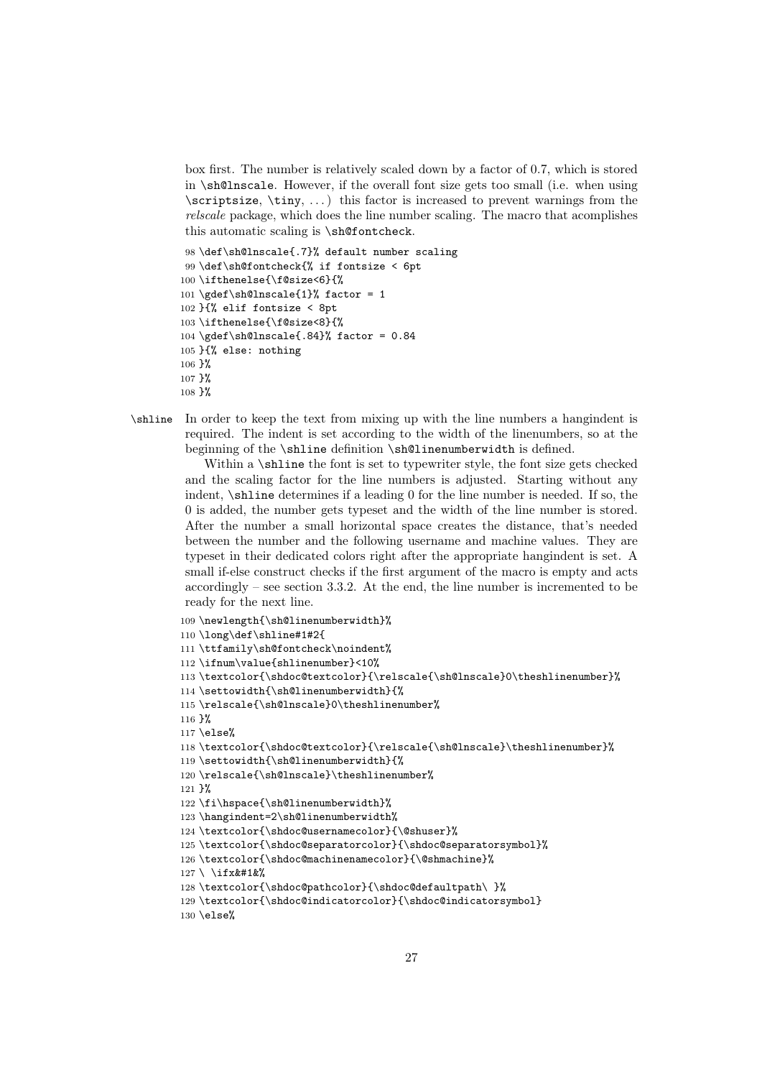box first. The number is relatively scaled down by a factor of 0.7, which is stored in \sh@lnscale. However, if the overall font size gets too small (i.e. when using  $\scriptstyle\text{\space{15cm}}$  \scriptsize,  $\times$ ...) this factor is increased to prevent warnings from the relscale package, which does the line number scaling. The macro that acomplishes this automatic scaling is \sh@fontcheck.

```
98 \def\sh@lnscale{.7}% default number scaling
99 \def\sh@fontcheck{% if fontsize < 6pt
100 \ifthenelse{\f@size<6}{%
101 \gdef\sh@lnscale{1}% factor = 1
102 }{% elif fontsize < 8pt
103 \ifthenelse{\f@size<8}{%
104 \gdef\sh@lnscale{.84}% factor = 0.84105 }{% else: nothing
106 }%
107 }%
108 }%
```
\shline In order to keep the text from mixing up with the line numbers a hangindent is required. The indent is set according to the width of the linenumbers, so at the beginning of the \shline definition \sh@linenumberwidth is defined.

> Within a **\shline** the font is set to typewriter style, the font size gets checked and the scaling factor for the line numbers is adjusted. Starting without any indent, \shline determines if a leading 0 for the line number is needed. If so, the 0 is added, the number gets typeset and the width of the line number is stored. After the number a small horizontal space creates the distance, that's needed between the number and the following username and machine values. They are typeset in their dedicated colors right after the appropriate hangindent is set. A small if-else construct checks if the first argument of the macro is empty and acts accordingly – see section [3.3.2.](#page-5-1) At the end, the line number is incremented to be ready for the next line.

```
109 \newlength{\sh@linenumberwidth}%
110 \long\def\shline#1#2{
111 \ttfamily\sh@fontcheck\noindent%
112 \ifnum\value{shlinenumber}<10%
113 \textcolor{\shdoc@textcolor}{\relscale{\sh@lnscale}0\theshlinenumber}%
114 \settowidth{\sh@linenumberwidth}{%
115 \relscale{\sh@lnscale}0\theshlinenumber%
116 }%
117 \else%
118 \textcolor{\shdoc@textcolor}{\relscale{\sh@lnscale}\theshlinenumber}%
119 \settowidth{\sh@linenumberwidth}{%
120 \relscale{\sh@lnscale}\theshlinenumber%
121 }%
122 \fi\hspace{\sh@linenumberwidth}%
123 \hangindent=2\sh@linenumberwidth%
124 \textcolor{\shdoc@usernamecolor}{\@shuser}%
125 \textcolor{\shdoc@separatorcolor}{\shdoc@separatorsymbol}%
126 \textcolor{\shdoc@machinenamecolor}{\@shmachine}%
127 \setminus \text{ifx\&#1\&% }128 \textcolor{\shdoc@pathcolor}{\shdoc@defaultpath\ }%
129 \textcolor{\shdoc@indicatorcolor}{\shdoc@indicatorsymbol}
130 \else%
```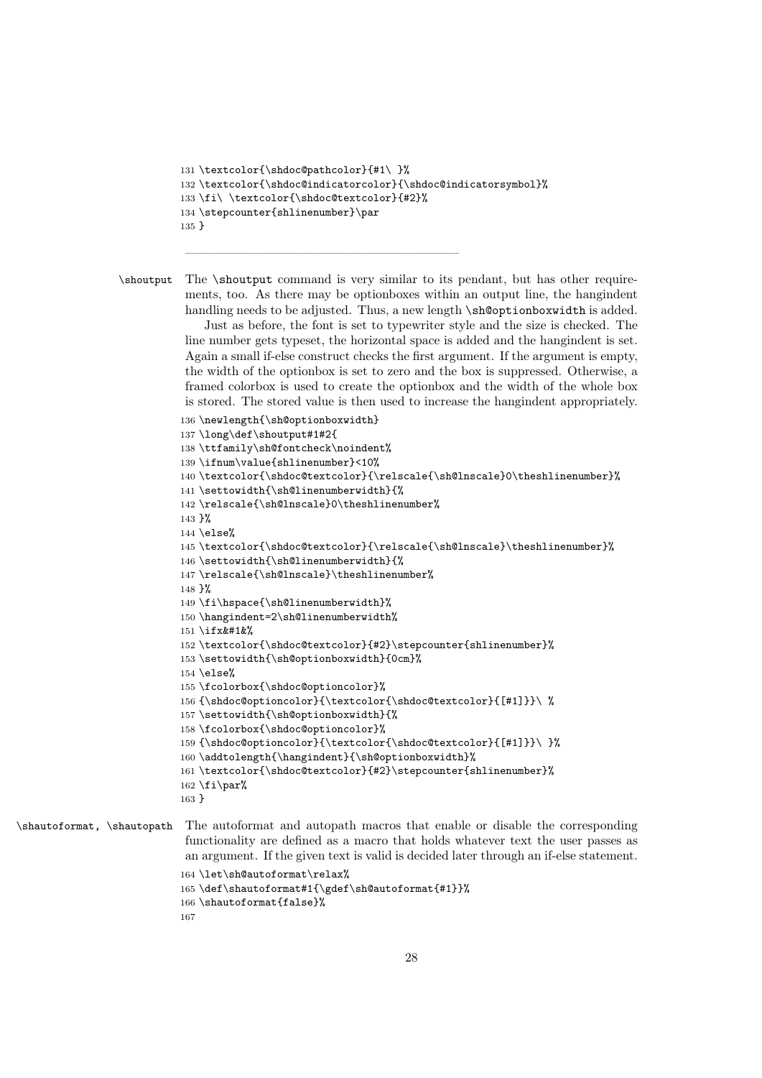```
131 \textcolor{\shdoc@pathcolor}{#1\ }%
132 \textcolor{\shdoc@indicatorcolor}{\shdoc@indicatorsymbol}%
133 \fi\ \textcolor{\shdoc@textcolor}{#2}%
134 \stepcounter{shlinenumber}\par
135 }
```
—————————————————————–

\shoutput The \shoutput command is very similar to its pendant, but has other requirements, too. As there may be optionboxes within an output line, the hangindent handling needs to be adjusted. Thus, a new length  $\sh$ Optionboxwidth is added.

> Just as before, the font is set to typewriter style and the size is checked. The line number gets typeset, the horizontal space is added and the hangindent is set. Again a small if-else construct checks the first argument. If the argument is empty, the width of the optionbox is set to zero and the box is suppressed. Otherwise, a framed colorbox is used to create the optionbox and the width of the whole box is stored. The stored value is then used to increase the hangindent appropriately.

```
136 \newlength{\sh@optionboxwidth}
137 \long\def\shoutput#1#2{
138 \ttfamily\sh@fontcheck\noindent%
139 \ifnum\value{shlinenumber}<10%
140 \textcolor{\shdoc@textcolor}{\relscale{\sh@lnscale}0\theshlinenumber}%
141 \settowidth{\sh@linenumberwidth}{%
142 \relscale{\sh@lnscale}0\theshlinenumber%
143 }%
144 \text{ kHz}145 \textcolor{\shdoc@textcolor}{\relscale{\sh@lnscale}\theshlinenumber}%
146 \settowidth{\sh@linenumberwidth}{%
147 \relscale{\sh@lnscale}\theshlinenumber%
148 }%
149 \fi\hspace{\sh@linenumberwidth}%
150 \hangindent=2\sh@linenumberwidth%
151 \text{ if } x\&\#1\&\%152 \textcolor{\shdoc@textcolor}{#2}\stepcounter{shlinenumber}%
153 \settowidth{\sh@optionboxwidth}{0cm}%
154 \text{else}%
155 \fcolorbox{\shdoc@optioncolor}%
156 {\shdoc@optioncolor}{\textcolor{\shdoc@textcolor}{[#1]}}\ %
157 \settowidth{\sh@optionboxwidth}{%
158 \fcolorbox{\shdoc@optioncolor}%
159 {\shdoc@optioncolor}{\textcolor{\shdoc@textcolor}{[#1]}}\ }%
160 \addtolength{\hangindent}{\sh@optionboxwidth}%
161 \textcolor{\shdoc@textcolor}{#2}\stepcounter{shlinenumber}%
162 \tif{par}163 }
```
\shautoformat, \shautopath The autoformat and autopath macros that enable or disable the corresponding functionality are defined as a macro that holds whatever text the user passes as an argument. If the given text is valid is decided later through an if-else statement. \let\sh@autoformat\relax% \def\shautoformat#1{\gdef\sh@autoformat{#1}}% \shautoformat{false}%

```
167
```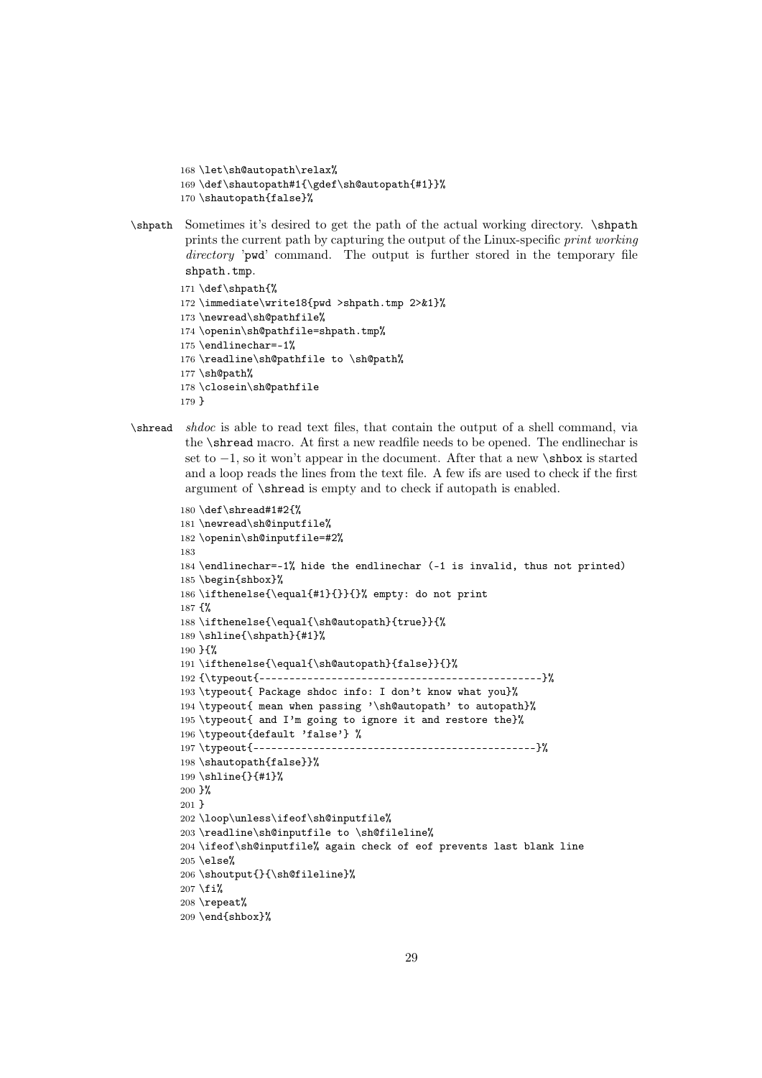```
168 \let\sh@autopath\relax%
169 \def\shautopath#1{\gdef\sh@autopath{#1}}%
170 \shautopath{false}%
```
\shpath Sometimes it's desired to get the path of the actual working directory. \shpath prints the current path by capturing the output of the Linux-specific print working directory 'pwd' command. The output is further stored in the temporary file shpath.tmp.

```
171 \def\shpath{%
172 \immediate\write18{pwd >shpath.tmp 2>&1}%
173 \newread\sh@pathfile%
174 \openin\sh@pathfile=shpath.tmp%
175 \endlinechar=-1%
176 \readline\sh@pathfile to \sh@path%
177 \sh@path%
178 \closein\sh@pathfile
179 }
```
\shread shdoc is able to read text files, that contain the output of a shell command, via the \shread macro. At first a new readfile needs to be opened. The endlinechar is set to  $-1$ , so it won't appear in the document. After that a new **\shbox** is started and a loop reads the lines from the text file. A few ifs are used to check if the first argument of \shread is empty and to check if autopath is enabled.

```
180 \def\shread#1#2{%
181 \newread\sh@inputfile%
182 \openin\sh@inputfile=#2%
183
184 \endlinechar=-1% hide the endlinechar (-1 is invalid, thus not printed)
185 \begin{shbox}%
186 \ifthenelse{\equal{#1}{}}{}% empty: do not print
187 {%
188 \ifthenelse{\equal{\sh@autopath}{true}}{%
189 \shline{\shpath}{#1}%
190 }{%
191 \ifthenelse{\equal{\sh@autopath}{false}}{}%
192 {\typeout{-----------------------------------------------}%
193 \typeout{ Package shdoc info: I don't know what you}%
194 \typeout{ mean when passing '\sh@autopath' to autopath}%
195 \typeout{ and I'm going to ignore it and restore the}%
196 \typeout{default 'false'} %
197 \typeout{-----------------------------------------------}%
198 \shautopath{false}}%
199 \shline{}{#1}%
200 }%
201 }
202 \loop\unless\ifeof\sh@inputfile%
203 \readline\sh@inputfile to \sh@fileline%
204 \ifeof\sh@inputfile% again check of eof prevents last blank line
205 \else%
206 \shoutput{}{\sh@fileline}%
207 \fi%
208 \repeat%
209 \end{shbox}%
```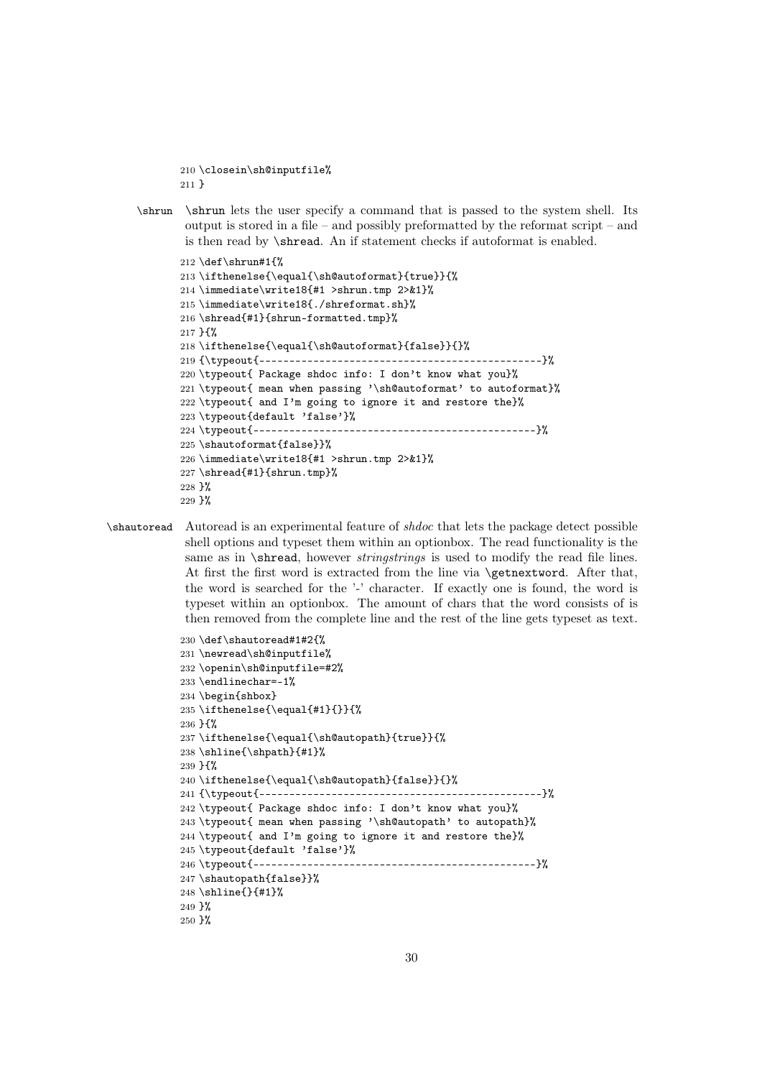```
210 \closein\sh@inputfile%
211 }
```
\shrun \shrun lets the user specify a command that is passed to the system shell. Its output is stored in a file – and possibly preformatted by the reformat script – and is then read by \shread. An if statement checks if autoformat is enabled.

```
212 \def\shrun#1{%
213 \ifthenelse{\equal{\sh@autoformat}{true}}{%
214 \immediate\write18{#1 >shrun.tmp 2>&1}%
215 \immediate\write18{./shreformat.sh}%
216 \shread{#1}{shrun-formatted.tmp}%
217 }{%
218 \ifthenelse{\equal{\sh@autoformat}{false}}{}%
219 {\typeout{-----------------------------------------------}%
220 \typeout{ Package shdoc info: I don't know what you}%
221 \typeout{ mean when passing '\sh@autoformat' to autoformat}%
222 \typeout{ and I'm going to ignore it and restore the}%
223 \typeout{default 'false'}%
224 \typeout{-----------------------------------------------}%
225 \shautoformat{false}}%
226 \immediate\write18{#1 >shrun.tmp 2>&1}%
227 \shread{#1}{shrun.tmp}%
228 }%
229 }%
```
\shautoread Autoread is an experimental feature of shdoc that lets the package detect possible shell options and typeset them within an optionbox. The read functionality is the same as in \shread, however *stringstrings* is used to modify the read file lines. At first the first word is extracted from the line via \getnextword. After that, the word is searched for the '-' character. If exactly one is found, the word is typeset within an optionbox. The amount of chars that the word consists of is then removed from the complete line and the rest of the line gets typeset as text.

```
230 \def\shautoread#1#2{%
231 \newread\sh@inputfile%
232 \openin\sh@inputfile=#2%
233 \endlinechar=-1%
234 \begin{shbox}
235 \ifthenelse{\equal{#1}{}}{%
236 }{%
237 \ifthenelse{\equal{\sh@autopath}{true}}{%
238 \shline{\shpath}{#1}%
239 }{%
240 \ifthenelse{\equal{\sh@autopath}{false}}{}%
241 {\typeout{-----------------------------------------------}%
242 \typeout{ Package shdoc info: I don't know what you}%
243 \typeout{ mean when passing '\sh@autopath' to autopath}%
244 \typeout{ and I'm going to ignore it and restore the}%
245 \typeout{default 'false'}%
246 \typeout{-----------------------------------------------}%
247 \shautopath{false}}%
248 \shline{}{#1}%
249 }%
250 }%
```